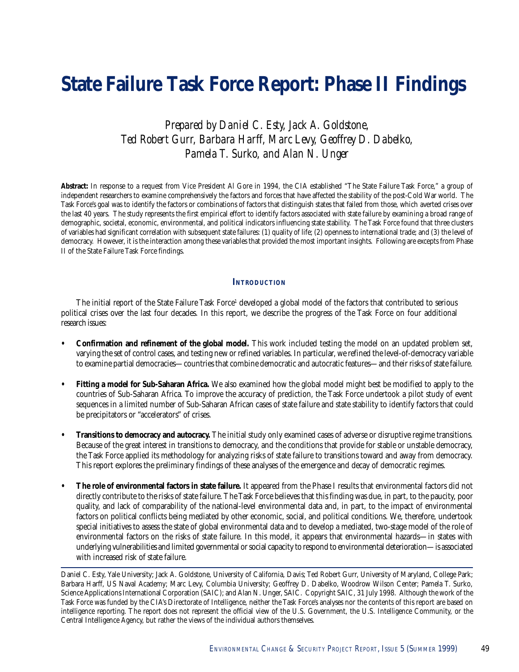# **State Failure Task Force Report: Phase II Findings**

*Prepared by Daniel C. Esty, Jack A. Goldstone, Ted Robert Gurr, Barbara Harff, Marc Levy, Geoffrey D. Dabelko, Pamela T. Surko, and Alan N. Unger*

**Abstract:** In response to a request from Vice President Al Gore in 1994, the CIA established "The State Failure Task Force," a group of independent researchers to examine comprehensively the factors and forces that have affected the stability of the post-Cold War world. The Task Force's goal was to identify the factors or combinations of factors that distinguish states that failed from those, which averted crises over the last 40 years. The study represents the first empirical effort to identify factors associated with state failure by examining a broad range of demographic, societal, economic, environmental, and political indicators influencing state stability. The Task Force found that three clusters of variables had significant correlation with subsequent state failures: (1) quality of life; (2) openness to international trade; and (3) the level of democracy. However, it is the interaction among these variables that provided the most important insights. Following are excepts from Phase II of the State Failure Task Force findings.

#### **INTRODUCTION**

The initial report of the State Failure Task Force<sup>1</sup> developed a global model of the factors that contributed to serious political crises over the last four decades. In this report, we describe the progress of the Task Force on four additional research issues:

- **Confirmation and refinement of the global model.** This work included testing the model on an updated problem set, varying the set of control cases, and testing new or refined variables. In particular, we refined the level-of-democracy variable to examine partial democracies—countries that combine democratic and autocratic features—and their risks of state failure.
- **Fitting a model for Sub-Saharan Africa.** We also examined how the global model might best be modified to apply to the countries of Sub-Saharan Africa. To improve the accuracy of prediction, the Task Force undertook a pilot study of event sequences in a limited number of Sub-Saharan African cases of state failure and state stability to identify factors that could be precipitators or "accelerators" of crises.
- **Transitions to democracy and autocracy.** The initial study only examined cases of adverse or disruptive regime transitions. Because of the great interest in transitions to democracy, and the conditions that provide for stable or unstable democracy, the Task Force applied its methodology for analyzing risks of state failure to transitions toward and away from democracy. This report explores the preliminary findings of these analyses of the emergence and decay of democratic regimes.
- **The role of environmental factors in state failure.** It appeared from the Phase I results that environmental factors did not directly contribute to the risks of state failure. The Task Force believes that this finding was due, in part, to the paucity, poor quality, and lack of comparability of the national-level environmental data and, in part, to the impact of environmental factors on political conflicts being mediated by other economic, social, and political conditions. We, therefore, undertook special initiatives to assess the state of global environmental data and to develop a mediated, two-stage model of the role of environmental factors on the risks of state failure. In this model, it appears that environmental hazards—in states with underlying vulnerabilities and limited governmental or social capacity to respond to environmental deterioration—is associated with increased risk of state failure.

Daniel C. Esty, Yale University; Jack A. Goldstone, University of California, Davis; Ted Robert Gurr, University of Maryland, College Park; Barbara Harff, US Naval Academy; Marc Levy, Columbia University; Geoffrey D. Dabelko, Woodrow Wilson Center; Pamela T. Surko, Science Applications International Corporation (SAIC); and Alan N. Unger, SAIC. Copyright SAIC, 31 July 1998. Although the work of the Task Force was funded by the CIA's Directorate of Intelligence, neither the Task Force's analyses nor the contents of this report are based on intelligence reporting. The report does not represent the official view of the U.S. Government, the U.S. Intelligence Community, or the Central Intelligence Agency, but rather the views of the individual authors themselves.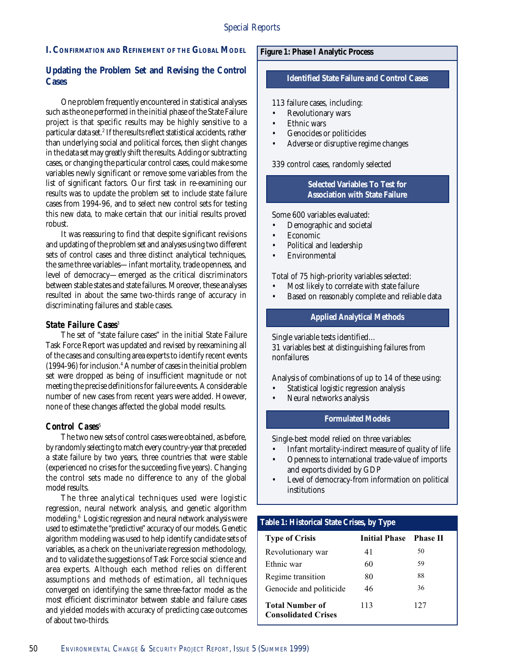# **I. CONFIRMATION AND REFINEMENT OF THE GLOBAL MODEL**

# **Updating the Problem Set and Revising the Control Cases**

One problem frequently encountered in statistical analyses such as the one performed in the initial phase of the State Failure project is that specific results may be highly sensitive to a particular data set.<sup>2</sup> If the results reflect statistical accidents, rather than underlying social and political forces, then slight changes in the data set may greatly shift the results. Adding or subtracting cases, or changing the particular control cases, could make some variables newly significant or remove some variables from the list of significant factors. Our first task in re-examining our results was to update the problem set to include state failure cases from 1994-96, and to select new control sets for testing this new data, to make certain that our initial results proved robust.

It was reassuring to find that despite significant revisions and updating of the problem set and analyses using two different sets of control cases and three distinct analytical techniques, the *same* three variables—infant mortality, trade openness, and level of democracy—emerged as the critical discriminators between stable states and state failures. Moreover, these analyses resulted in about the same two-thirds range of accuracy in discriminating failures and stable cases.

# *State Failure Cases*

The set of "state failure cases" in the initial State Failure Task Force Report was updated and revised by reexamining all of the cases and consulting area experts to identify recent events (1994-96) for inclusion.4 A number of cases in the initial problem set were dropped as being of insufficient magnitude or not meeting the precise definitions for failure events. A considerable number of new cases from recent years were added. However, none of these changes affected the global model results.

# Control Cases<sup>5</sup>

The two new sets of control cases were obtained, as before, by randomly selecting to match every country-year that preceded a state failure by two years, three countries that were stable (experienced no crises for the succeeding five years). Changing the control sets made no difference to any of the global model results.

The three analytical techniques used were logistic regression, neural network analysis, and genetic algorithm modeling.6 Logistic regression and neural network analysis were used to estimate the "predictive" accuracy of our models. Genetic algorithm modeling was used to help identify candidate sets of variables, as a check on the univariate regression methodology, and to validate the suggestions of Task Force social science and area experts. Although each method relies on different assumptions and methods of estimation, all techniques converged on identifying the same three-factor model as the most efficient discriminator between stable and failure cases and yielded models with accuracy of predicting case outcomes of about two-thirds*.*

# **Figure 1: Phase I Analytic Process**

#### **Identified State Failure and Control Cases**

113 failure cases, including:

- Revolutionary wars
- Ethnic wars
- Genocides or politicides
- Adverse or disruptive regime changes

339 control cases, randomly selected

# **Selected Variables To Test for Association with State Failure**

Some 600 variables evaluated:

- Demographic and societal
- Economic
- Political and leadership
- Environmental

Total of 75 high-priority variables selected:

- Most likely to correlate with state failure
- Based on reasonably complete and reliable data

# **Applied Analytical Methods**

Single variable tests identified… 31 variables best at distinguishing failures from nonfailures

Analysis of combinations of up to 14 of these using:

- Statistical logistic regression analysis
- Neural networks analysis

#### **Formulated Models**

Single-best model relied on three variables:

- Infant mortality-indirect measure of quality of life
- Openness to international trade-value of imports and exports divided by GDP
- Level of democracy-from information on political institutions

# **Table 1: Historical State Crises, by Type**

| <b>Type of Crisis</b>                                | Initial Phase Phase II |     |
|------------------------------------------------------|------------------------|-----|
| Revolutionary war                                    | 41                     | 50  |
| Ethnic war                                           | 60                     | 59  |
| Regime transition                                    | 80                     | 88  |
| Genocide and politicide                              | 46                     | 36  |
| <b>Total Number of</b><br><b>Consolidated Crises</b> | 113                    | 127 |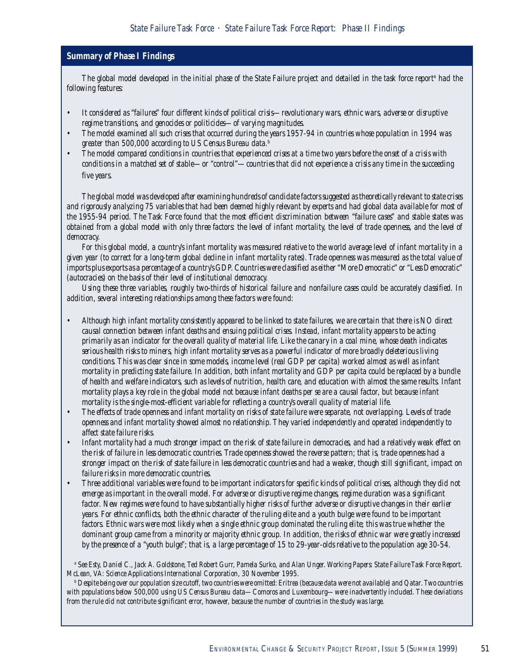# *Summary of Phase I Findings*

The global model developed in the initial phase of the State Failure project and detailed in the task force report<sup>e</sup> had the *following features:*

- *It considered as "failures" four different kinds of political crisis—revolutionary wars, ethnic wars, adverse or disruptive regime transitions, and genocides or politicides—of varying magnitudes.*
- *The model examined all such crises that occurred during the years 1957-94 in countries whose population in 1994 was greater than 500,000 according to US Census Bureau data.b*
- *The model compared conditions in countries that experienced crises at a time two years before the onset of a crisis with conditions in a matched set of stable—or "control"—countries that did not experience a crisis any time in the succeeding five years.*

*The global model was developed after examining hundreds of candidate factors suggested as theoretically relevant to state crises and rigorously analyzing 75 variables that had been deemed highly relevant by experts and had global data available for most of the 1955-94 period. The Task Force found that the most efficient discrimination between "failure cases" and stable states was obtained from a global model with only three factors: the level of infant mortality, the level of trade openness, and the level of democracy.*

*For this global model, a country's infant mortality was measured relative to the world average level of infant mortality in a given year (to correct for a long-term global decline in infant mortality rates). Trade openness was measured as the total value of imports plus exports as a percentage of a country's GDP. Countries were classified as either "More Democratic" or "Less Democratic" (autocracies) on the basis of their level of institutional democracy.*

*Using these three variables, roughly two-thirds of historical failure and nonfailure cases could be accurately classified. In addition, several interesting relationships among these factors were found:*

- *Although high infant mortality consistently appeared to be linked to state failures, we are certain that there is NO direct causal connection between infant deaths and ensuing political crises. Instead, infant mortality appears to be acting primarily as an indicator for the overall quality of material life. Like the canary in a coal mine, whose death indicates serious health risks to miners, high infant mortality serves as a powerful indicator of more broadly deleterious living conditions. This was clear since in some models, income level (real GDP per capita) worked almost as well as infant mortality in predicting state failure. In addition, both infant mortality and GDP per capita could be replaced by a bundle of health and welfare indicators, such as levels of nutrition, health care, and education with almost the same results. Infant mortality plays a key role in the global model not because infant deaths per se are a causal factor, but because infant mortality is the single-most-efficient variable for reflecting a country's overall quality of material life.*
- *The effects of trade openness and infant mortality on risks of state failure were separate, not overlapping. Levels of trade openness and infant mortality showed almost no relationship. They varied independently and operated independently to affect state failure risks.*
- *Infant mortality had a much stronger impact on the risk of state failure in democracies, and had a relatively weak effect on the risk of failure in less democratic countries. Trade openness showed the reverse pattern; that is, trade openness had a stronger impact on the risk of state failure in less democratic countries and had a weaker, though still significant, impact on failure risks in more democratic countries.*
- *Three additional variables were found to be important indicators for specific kinds of political crises, although they did not emerge as important in the overall model. For adverse or disruptive regime changes, regime duration was a significant factor. New regimes were found to have substantially higher risks of further adverse or disruptive changes in their earlier years. For ethnic conflicts, both the ethnic character of the ruling elite and a youth bulge were found to be important factors. Ethnic wars were most likely when a single ethnic group dominated the ruling elite; this was true whether the dominant group came from a minority or majority ethnic group. In addition, the risks of ethnic war were greatly increased by the presence of a "youth bulge"; that is, a large percentage of 15 to 29-year-olds relative to the population age 30-54.*

*a See Esty, Daniel C., Jack A. Goldstone, Ted Robert Gurr, Pamela Surko, and Alan Unger. Working Papers: State Failure Task Force Report. McLean, VA: Science Applications International Corporation, 30 November 1995.*

*b Despite being over our population size cutoff, two countries were omitted: Eritrea (because data were not available) and Qatar. Two countries with populations below 500,000 using US Census Bureau data—Comoros and Luxembourg—were inadvertently included. These deviations from the rule did not contribute significant error, however, because the number of countries in the study was large.*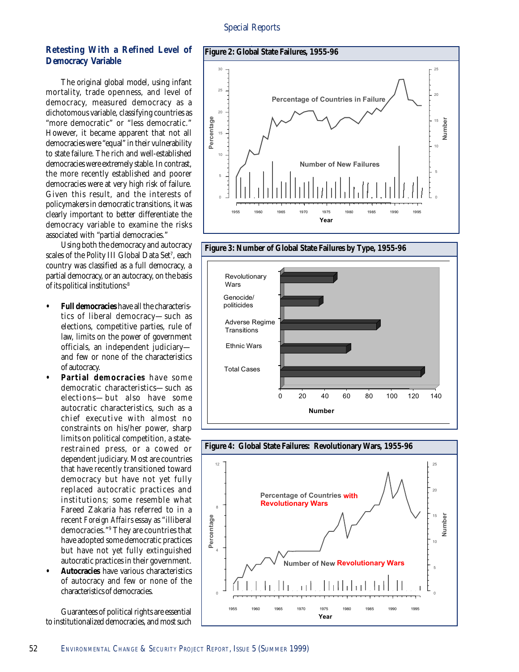# **Retesting With a Refined Level of Democracy Variable**

The original global model, using infant mortality, trade openness, and level of democracy, measured democracy as a dichotomous variable, classifying countries as "more democratic" or "less democratic." However, it became apparent that not all democracies were "equal" in their vulnerability to state failure. The rich and well-established democracies were extremely stable. In contrast, the more recently established and poorer democracies were at very high risk of failure. Given this result, and the interests of policymakers in democratic transitions, it was clearly important to better differentiate the democracy variable to examine the risks associated with "partial democracies."

Using both the democracy and autocracy scales of the Polity III Global Data Set<sup>7</sup>, each country was classified as a full democracy, a partial democracy, or an autocracy, on the basis of its political institutions:8

- **Full democracies** have all the characteristics of liberal democracy—such as elections, competitive parties, rule of law, limits on the power of government officials, an independent judiciary and few or none of the characteristics of autocracy.
- **Partial democracies** have some democratic characteristics—such as elections—but also have some autocratic characteristics, such as a chief executive with almost no constraints on his/her power, sharp limits on political competition, a staterestrained press, or a cowed or dependent judiciary. Most are countries that have recently transitioned toward democracy but have not yet fully replaced autocratic practices and institutions; some resemble what Fareed Zakaria has referred to in a recent *Foreign Affairs* essay as "illiberal democracies."9 They are countries that have adopted some democratic practices but have not yet fully extinguished autocratic practices in their government.
- **Autocracies** have various characteristics of autocracy and few or none of the characteristics of democracies.

Guarantees of political rights are essential to institutionalized democracies, and most such





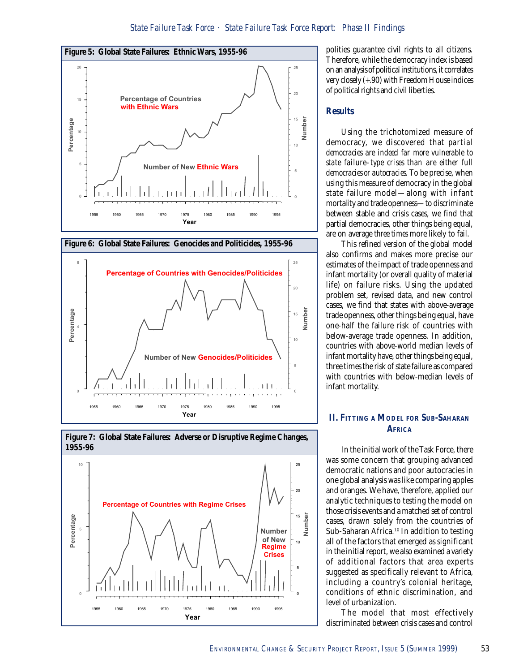







polities guarantee civil rights to all citizens. Therefore, while the democracy index is based on an analysis of political institutions, it correlates very closely (+.90) with Freedom House indices of political rights and civil liberties.

#### **Results**

Using the trichotomized measure of democracy, we discovered that *partial democracies are indeed far more vulnerable to state failure–type crises than are either full democracies or autocracies.* To be precise, when using this measure of democracy in the global state failure model—along with infant mortality and trade openness—to discriminate between stable and crisis cases, we find that partial democracies, other things being equal, are on average *three times* more likely to fail.

This refined version of the global model also confirms and makes more precise our estimates of the impact of trade openness and infant mortality (or overall quality of material life) on failure risks. Using the updated problem set, revised data, and new control cases, we find that states with above-average trade openness, other things being equal, have one-half the failure risk of countries with below-average trade openness. In addition, countries with above-world median levels of infant mortality have, other things being equal, three times the risk of state failure as compared with countries with below-median levels of infant mortality.

# **II. FITTING A MODEL FOR SUB-SAHARAN AFRICA**

In the initial work of the Task Force, there was some concern that grouping advanced democratic nations and poor autocracies in one global analysis was like comparing apples and oranges. We have, therefore, applied our analytic techniques to testing the model on those crisis events and a matched set of control cases, drawn solely from the countries of Sub-Saharan Africa.<sup>10</sup> In addition to testing all of the factors that emerged as significant in the initial report, we also examined a variety of additional factors that area experts suggested as specifically relevant to Africa, including a country's colonial heritage, conditions of ethnic discrimination, and level of urbanization.

The model that most effectively discriminated between crisis cases and control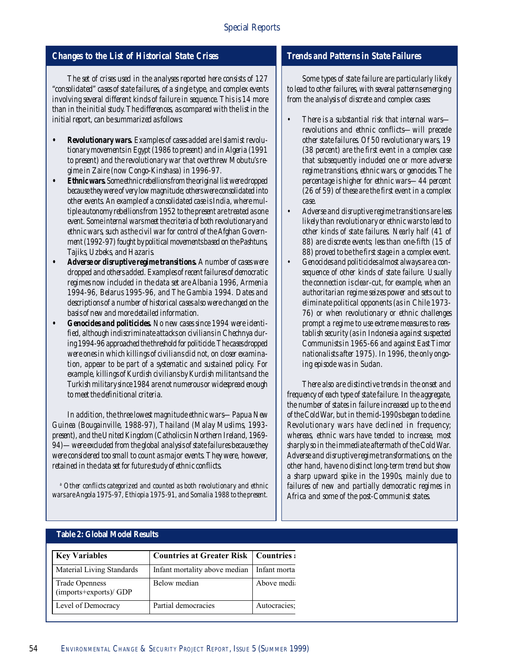# *Changes to the List of Historical State Crises*

*The set of crises used in the analyses reported here consists of 127 "consolidated" cases of state failures, of a single type, and complex events involving several different kinds of failure in sequence. This is 14 more than in the initial study. The differences, as compared with the list in the initial report, can be summarized as follows:*

- *Revolutionary wars. Examples of cases added are Islamist revolutionary movements in Egypt (1986 to present) and in Algeria (1991 to present) and the revolutionary war that overthrew Mobutu's regime in Zaire (now Congo-Kinshasa) in 1996-97.*
- *Ethnic wars. Some ethnic rebellions from the original list were dropped because they were of very low magnitude; others were consolidated into other events. An example of a consolidated case is India, where multiple autonomy rebellions from 1952 to the present are treated as one event. Some internal wars meet the criteria of both revolutionary and ethnic wars, such as the civil war for control of the Afghan Government (1992-97) fought by political movements based on the Pashtuns, Tajiks, Uzbeks, and Hazaris.*
- *Adverse or disruptive regime transitions. A number of cases were dropped and others added. Examples of recent failures of democratic regimes now included in the data set are Albania 1996, Armenia 1994-96, Belarus 1995-96, and The Gambia 1994. Dates and descriptions of a number of historical cases also were changed on the basis of new and more detailed information.*
- *Genocides and politicides. No new cases since 1994 were identified, although indiscriminate attacks on civilians in Chechnya during 1994-96 approached the threshold for politicide. The cases dropped were ones in which killings of civilians did not, on closer examination, appear to be part of a systematic and sustained policy. For example, killings of Kurdish civilians by Kurdish militants and the Turkish military since 1984 are not numerous or widespread enough to meet the definitional criteria.*

*In addition, the three lowest magnitude ethnic wars—Papua New Guinea (Bougainville, 1988-97), Thailand (Malay Muslims, 1993 present), and the United Kingdom (Catholics in Northern Ireland, 1969- 94)—were excluded from the global analysis of state failures because they were considered too small to count as major events. They were, however, retained in the data set for future study of ethnic conflicts.*

*a Other conflicts categorized and counted as both revolutionary and ethnic wars are Angola 1975-97, Ethiopia 1975-91, and Somalia 1988 to the present.*

# *Trends and Patterns in State Failures*

*Some types of state failure are particularly likely to lead to other failures, with several patterns emerging from the analysis of discrete and complex cases:*

- *There is a substantial risk that internal wars revolutions and ethnic conflicts—will precede other state failures. Of 50 revolutionary wars, 19 (38 percent) are the first event in a complex case that subsequently included one or more adverse regime transitions, ethnic wars, or genocides. The percentage is higher for ethnic wars—44 percent (26 of 59) of these are the first event in a complex case.*
- *Adverse and disruptive regime transitions are less likely than revolutionary or ethnic wars to lead to other kinds of state failures. Nearly half (41 of 88) are discrete events; less than one-fifth (15 of 88) proved to be the first stage in a complex event.*
- *Genocides and politicides almost always are a consequence of other kinds of state failure. Usually the connection is clear-cut, for example, when an authoritarian regime seizes power and sets out to eliminate political opponents (as in Chile 1973- 76) or when revolutionary or ethnic challenges prompt a regime to use extreme measures to reestablish security (as in Indonesia against suspected Communists in 1965-66 and against East Timor nationalists after 1975). In 1996, the only ongoing episode was in Sudan.*

*There also are distinctive trends in the onset and frequency of each type of state failure. In the aggregate, the number of states in failure increased up to the end of the Cold War, but in the mid-1990s began to decline. Revolutionary wars have declined in frequency; whereas, ethnic wars have tended to increase, most sharply so in the immediate aftermath of the Cold War. Adverse and disruptive regime transformations, on the other hand, have no distinct long-term trend but show a sharp upward spike in the 1990s, mainly due to failures of new and partially democratic regimes in Africa and some of the post-Communist states.*

## **Table 2: Global Model Results**

| <b>Key Variables</b>                     | <b>Countries at Greater Risk   Countries:</b> |              |
|------------------------------------------|-----------------------------------------------|--------------|
| Material Living Standards                | Infant mortality above median   Infant morta  |              |
| Trade Openness<br>(imports+exports)/ GDP | Below median                                  | Above medi   |
| Level of Democracy                       | Partial democracies                           | Autocracies: |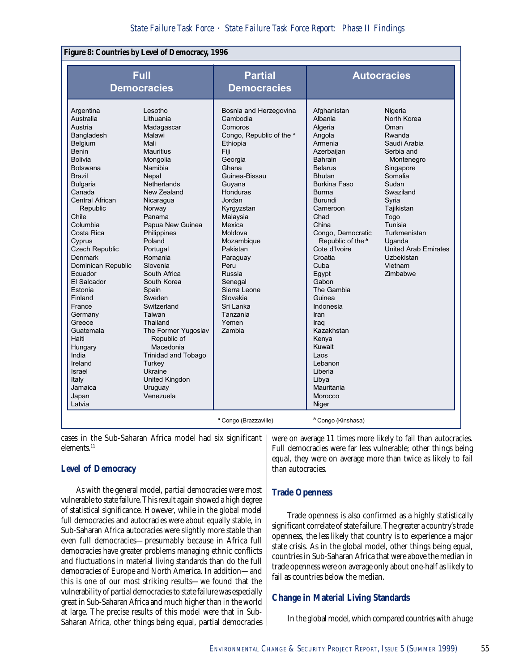## **Figure 8: Countries by Level of Democracy, 1996**

|                                                                                                                                                                                                                                                                                                                                                                                                                                                                                                        | <b>Full</b><br><b>Democracies</b>                                                                                                                                                                                                                                                                                                                                                                                                                                                                     | <b>Partial</b><br><b>Democracies</b>                                                                                                                                                                                                                                                                                                                         |                                                                                                                                                                                                                                                                                                                                                                                                                                                                                | <b>Autocracies</b>                                                                                                                                                                                                                                                         |
|--------------------------------------------------------------------------------------------------------------------------------------------------------------------------------------------------------------------------------------------------------------------------------------------------------------------------------------------------------------------------------------------------------------------------------------------------------------------------------------------------------|-------------------------------------------------------------------------------------------------------------------------------------------------------------------------------------------------------------------------------------------------------------------------------------------------------------------------------------------------------------------------------------------------------------------------------------------------------------------------------------------------------|--------------------------------------------------------------------------------------------------------------------------------------------------------------------------------------------------------------------------------------------------------------------------------------------------------------------------------------------------------------|--------------------------------------------------------------------------------------------------------------------------------------------------------------------------------------------------------------------------------------------------------------------------------------------------------------------------------------------------------------------------------------------------------------------------------------------------------------------------------|----------------------------------------------------------------------------------------------------------------------------------------------------------------------------------------------------------------------------------------------------------------------------|
| Argentina<br>Australia<br>Austria<br>Bangladesh<br>Belgium<br>Benin<br><b>Bolivia</b><br><b>Botswana</b><br><b>Brazil</b><br><b>Bulgaria</b><br>Canada<br><b>Central African</b><br>Republic<br>Chile<br>Columbia<br>Costa Rica<br>Cyprus<br><b>Czech Republic</b><br><b>Denmark</b><br>Dominican Republic<br>Ecuador<br>El Salcador<br>Estonia<br>Finland<br>France<br>Germany<br>Greece<br>Guatemala<br>Haiti<br>Hungary<br>India<br>Ireland<br><b>Israel</b><br>Italy<br>Jamaica<br>Japan<br>Latvia | Lesotho<br>Lithuania<br>Madagascar<br>Malawi<br>Mali<br><b>Mauritius</b><br>Mongolia<br>Namibia<br>Nepal<br>Netherlands<br>New Zealand<br>Nicaragua<br>Norway<br>Panama<br>Papua New Guinea<br>Philippines<br>Poland<br>Portugal<br>Romania<br>Slovenia<br>South Africa<br>South Korea<br>Spain<br>Sweden<br>Switzerland<br>Taiwan<br>Thailand<br>The Former Yugoslav<br>Republic of<br>Macedonia<br><b>Trinidad and Tobago</b><br>Turkey<br>Ukraine<br><b>United Kingdon</b><br>Uruguay<br>Venezuela | Bosnia and Herzegovina<br>Cambodia<br>Comoros<br>Congo, Republic of the a<br>Ethiopia<br>Fiji<br>Georgia<br>Ghana<br>Guinea-Bissau<br>Guyana<br>Honduras<br>Jordan<br>Kyrgyzstan<br>Malaysia<br>Mexica<br>Moldova<br>Mozambique<br>Pakistan<br>Paraguay<br>Peru<br>Russia<br>Senegal<br>Sierra Leone<br>Slovakia<br>Sri Lanka<br>Tanzania<br>Yemen<br>Zambia | Afghanistan<br>Albania<br>Algeria<br>Angola<br>Armenia<br>Azerbaiian<br><b>Bahrain</b><br><b>Belarus</b><br><b>Bhutan</b><br><b>Burkina Faso</b><br><b>Burma</b><br><b>Burundi</b><br>Cameroon<br>Chad<br>China<br>Congo, Democratic<br>Republic of the b<br>Cote d'Ivoire<br>Croatia<br>Cuba<br>Egypt<br>Gabon<br>The Gambia<br>Guinea<br>Indonesia<br>Iran<br>Irag<br>Kazakhstan<br>Kenya<br>Kuwait<br>Laos<br>Lebanon<br>Liberia<br>Libya<br>Mauritania<br>Morocco<br>Niger | Nigeria<br>North Korea<br>Oman<br>Rwanda<br>Saudi Arabia<br>Serbia and<br>Montenegro<br>Singapore<br>Somalia<br>Sudan<br>Swaziland<br>Syria<br>Tajikistan<br>Togo<br>Tunisia<br>Turkmenistan<br>Uganda<br><b>United Arab Emirates</b><br>Uzbekistan<br>Vietnam<br>Zimbabwe |
|                                                                                                                                                                                                                                                                                                                                                                                                                                                                                                        |                                                                                                                                                                                                                                                                                                                                                                                                                                                                                                       | <sup>a</sup> Congo (Brazzaville)                                                                                                                                                                                                                                                                                                                             | <sup>b</sup> Congo (Kinshasa)                                                                                                                                                                                                                                                                                                                                                                                                                                                  |                                                                                                                                                                                                                                                                            |

cases in the Sub-Saharan Africa model had six significant elements.<sup>11</sup>

#### **Level of Democracy**

As with the general model, partial democracies were most vulnerable to state failure. This result again showed a high degree of statistical significance. However, while in the global model full democracies and autocracies were about equally stable, in Sub-Saharan Africa autocracies were slightly more stable than even full democracies—presumably because in Africa full democracies have greater problems managing ethnic conflicts and fluctuations in material living standards than do the full democracies of Europe and North America. In addition—and this is one of our most striking results—we found that the vulnerability of partial democracies to state failure was especially great in Sub-Saharan Africa and much higher than in the world at large. The precise results of this model were that in Sub-Saharan Africa, other things being equal, partial democracies were on average 11 times more likely to fail than autocracies. Full democracies were far less vulnerable; other things being equal, they were on average more than twice as likely to fail than autocracies.

#### **Trade Openness**

Trade openness is also confirmed as a highly statistically significant correlate of state failure. The greater a country's trade openness, the *less* likely that country is to experience a major state crisis. As in the global model, other things being equal, countries in Sub-Saharan Africa that were above the median in trade openness were on average only about one-half as likely to fail as countries below the median.

## **Change in Material Living Standards**

In the global model, which compared countries with a huge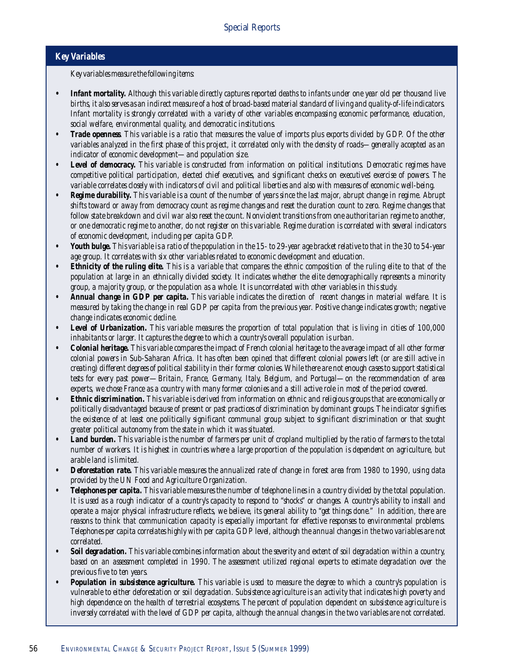# *Key Variables*

*Key variables measure the following items:*

- **•** *Infant mortality. Although this variable directly captures reported deaths to infants under one year old per thousand live births, it also serves as an indirect measure of a host of broad-based material standard of living and quality-of-life indicators. Infant mortality is strongly correlated with a variety of other variables encompassing economic performance, education, social welfare, environmental quality, and democratic institutions.*
- *Trade openness. This variable is a ratio that measures the value of imports plus exports divided by GDP. Of the other variables analyzed in the first phase of this project, it correlated only with the density of roads—generally accepted as an indicator of economic development—and population size.*
- *Level of democracy. This variable is constructed from information on political institutions. Democratic regimes have competitive political participation, elected chief executives, and significant checks on executives' exercise of powers. The variable correlates closely with indicators of civil and political liberties and also with measures of economic well-being.*
- *Regime durability. This variable is a count of the number of years since the last major, abrupt change in regime. Abrupt shifts toward or away from democracy count as regime changes and reset the duration count to zero. Regime changes that follow state breakdown and civil war also reset the count. Nonviolent transitions from one authoritarian regime to another, or one democratic regime to another, do not register on this variable. Regime duration is correlated with several indicators of economic development, including per capita GDP.*
- *Youth bulge. This variable is a ratio of the population in the 15- to 29-year age bracket relative to that in the 30 to 54-year age group. It correlates with six other variables related to economic development and education.*
- *Ethnicity of the ruling elite. This is a variable that compares the ethnic composition of the ruling elite to that of the population at large in an ethnically divided society. It indicates whether the elite demographically represents a minority group, a majority group, or the population as a whole. It is uncorrelated with other variables in this study.*
- *Annual change in GDP per capita. This variable indicates the direction of recent changes in material welfare. It is measured by taking the change in real GDP per capita from the previous year. Positive change indicates growth; negative change indicates economic decline.*
- *Level of Urbanization. This variable measures the proportion of total population that is living in cities of 100,000 inhabitants or larger. It captures the degree to which a country's overall population is urban.*
- *Colonial heritage. This variable compares the impact of French colonial heritage to the average impact of all other former colonial powers in Sub-Saharan Africa. It has often been opined that different colonial powers left (or are still active in creating) different degrees of political stability in their former colonies. While there are not enough cases to support statistical tests for every past power—Britain, France, Germany, Italy, Belgium, and Portugal—on the recommendation of area experts, we chose France as a country with many former colonies and a still active role in most of the period covered.*
- *Ethnic discrimination. This variable is derived from information on ethnic and religious groups that are economically or politically disadvantaged because of present or past practices of discrimination by dominant groups. The indicator signifies the existence of at least one politically significant communal group subject to significant discrimination or that sought greater political autonomy from the state in which it was situated.*
- *Land burden. This variable is the number of farmers per unit of cropland multiplied by the ratio of farmers to the total number of workers. It is highest in countries where a large proportion of the population is dependent on agriculture, but arable land is limited.*
- *Deforestation rate. This variable measures the annualized rate of change in forest area from 1980 to 1990, using data provided by the UN Food and Agriculture Organization.*
- *Telephones per capita. This variable measures the number of telephone lines in a country divided by the total population. It is used as a rough indicator of a country's capacity to respond to "shocks" or changes. A country's ability to install and operate a major physical infrastructure reflects, we believe, its general ability to "get things done." In addition, there are reasons to think that communication capacity is especially important for effective responses to environmental problems. Telephones per capita correlates highly with per capita GDP level, although the annual changes in the two variables are not correlated.*
- *Soil degradation. This variable combines information about the severity and extent of soil degradation within a country, based on an assessment completed in 1990. The assessment utilized regional experts to estimate degradation over the previous five to ten years.*
- *Population in subsistence agriculture. This variable is used to measure the degree to which a country's population is vulnerable to either deforestation or soil degradation. Subsistence agriculture is an activity that indicates high poverty and high dependence on the health of terrestrial ecosystems. The percent of population dependent on subsistence agriculture is inversely correlated with the level of GDP per capita, although the annual changes in the two variables are not correlated.*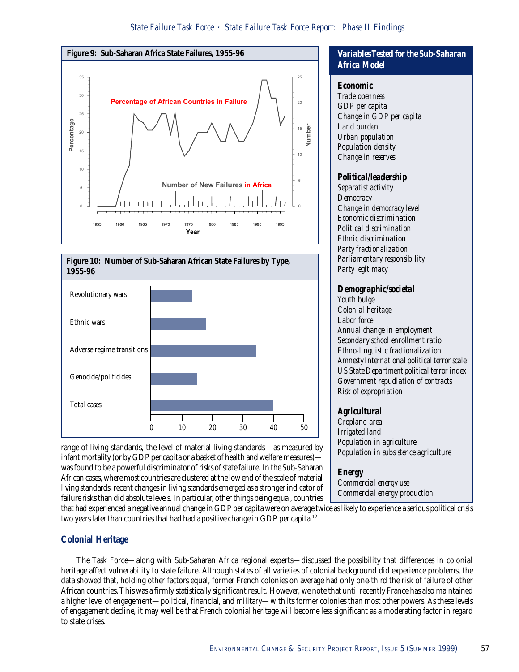



range of living standards, the level of material living standards—as measured by infant mortality (or by GDP per capita or a basket of health and welfare measures) was found to be a powerful discriminator of risks of state failure. In the Sub-Saharan African cases, where most countries are clustered at the low end of the scale of material living standards, recent changes in living standards emerged as a stronger indicator of failure risks than did absolute levels. In particular, other things being equal, countries

# *Variables Tested for the Sub-Saharan Africa Model*

#### *Economic*

*Trade openness GDP per capita Change in GDP per capita Land burden Urban population Population density Change in reserves*

# *Political/leadership*

*Separatist activity Democracy Change in democracy level Economic discrimination Political discrimination Ethnic discrimination Party fractionalization Parliamentary responsibility Party legitimacy*

#### *Demographic/societal*

*Youth bulge Colonial heritage Labor force Annual change in employment Secondary school enrollment ratio Ethno-linguistic fractionalization Amnesty International political terror scale US State Department political terror index Government repudiation of contracts Risk of expropriation*

# *Agricultural*

*Cropland area Irrigated land Population in agriculture Population in subsistence agriculture*

# *Energy*

*Commercial energy use Commercial energy production*

that had experienced a negative annual change in GDP per capita were on average twice as likely to experience a serious political crisis two years later than countries that had had a positive change in GDP per capita.<sup>12</sup>

# **Colonial Heritage**

The Task Force—along with Sub-Saharan Africa regional experts—discussed the possibility that differences in colonial heritage affect vulnerability to state failure. Although states of all varieties of colonial background did experience problems, the data showed that, holding other factors equal, former French colonies on average had only one-third the risk of failure of other African countries. This was a firmly statistically significant result. However, we note that until recently France has also maintained a higher level of engagement—political, financial, and military—with its former colonies than most other powers. As these levels of engagement decline, it may well be that French colonial heritage will become less significant as a moderating factor in regard to state crises.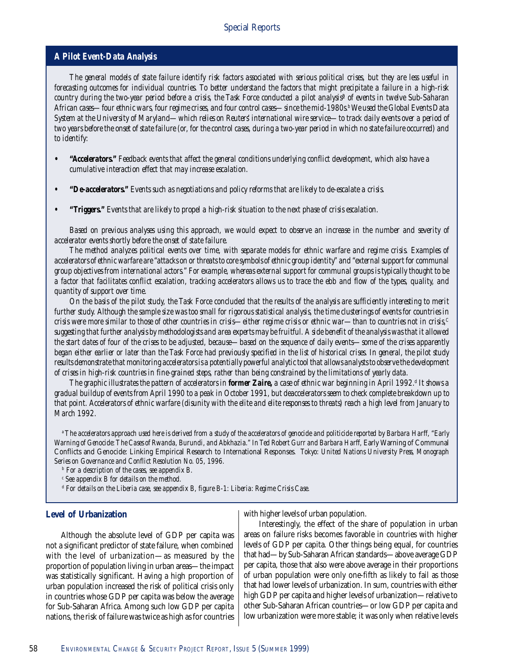#### *A Pilot Event-Data Analysis*

*The general models of state failure identify risk factors associated with serious political crises, but they are less useful in forecasting outcomes for individual countries. To better understand the factors that might precipitate a failure in a high-risk country during the two-year period before a crisis, the Task Force conducted a pilot analysisª of events in twelve Sub-Saharan African cases—four ethnic wars, four regime crises, and four control cases—since the mid-1980s.b We used the Global Events Data System at the University of Maryland—which relies on Reuters' international wire service—to track daily events over a period of two years before the onset of state failure (or, for the control cases, during a two-year period in which no state failure occurred) and to identify:*

- **•** *"Accelerators." Feedback events that affect the general conditions underlying conflict development, which also have a cumulative interaction effect that may increase escalation.*
- *"De-accelerators." Events such as negotiations and policy reforms that are likely to de-escalate a crisis.*
- *"Triggers." Events that are likely to propel a high-risk situation to the next phase of crisis escalation.*

*Based on previous analyses using this approach, we would expect to observe an increase in the number and severity of accelerator events shortly before the onset of state failure.*

*The method analyzes political events over time, with separate models for ethnic warfare and regime crisis. Examples of accelerators of ethnic warfare are "attacks on or threats to core symbols of ethnic group identity" and "external support for communal group objectives from international actors." For example, whereas external support for communal groups is typically thought to be a factor that facilitates conflict escalation, tracking accelerators allows us to trace the ebb and flow of the types, quality, and quantity of support over time.*

*On the basis of the pilot study, the Task Force concluded that the results of the analysis are sufficiently interesting to merit further study. Although the sample size was too small for rigorous statistical analysis, the time clusterings of events for countries in crisis were more similar to those of other countries in crisis—either regime crisis or ethnic war—than to countries not in crisis,C suggesting that further analysis by methodologists and area experts may be fruitful. A side benefit of the analysis was that it allowed the start dates of four of the crises to be adjusted, because—based on the sequence of daily events—some of the crises apparently began either earlier or later than the Task Force had previously specified in the list of historical crises. In general, the pilot study results demonstrate that monitoring accelerators is a potentially powerful analytic tool that allows analysts to observe the development of crises in high-risk countries in fine-grained steps, rather than being constrained by the limitations of yearly data.*

The graphic illustrates the pattern of accelerators in **former Zaire**, a case of ethnic war beginning in April 1992.<sup>d</sup> It shows a *gradual buildup of events from April 1990 to a peak in October 1991, but deaccelerators seem to check complete breakdown up to that point. Accelerators of ethnic warfare (disunity with the elite and elite responses to threats) reach a high level from January to March 1992.*

*a The accelerators approach used here is derived from a study of the accelerators of genocide and politicide reported by Barbara Harff, "Early* Warning of Genocide: The Cases of Rwanda, Burundi, and Abkhazia." In Ted Robert Gurr and Barbara Harff, Early Warning of Communal Conflicts and Genocide: Linking Empirical Research to International Responses*. Tokyo: United Nations University Press, Monograph Series on Governance and Conflict Resolution No. 05, 1996.*

*b For a description of the cases, see appendix B.*

*c See appendix B for details on the method.*

*d For details on the Liberia case, see appendix B, figure B-1: Liberia: Regime Crisis Case.*

#### **Level of Urbanization**

with higher levels of urban population.

Although the absolute level of GDP per capita was not a significant predictor of state failure, when combined with the level of urbanization—as measured by the proportion of population living in urban areas—the impact was statistically significant. Having a high proportion of urban population increased the risk of political crisis only in countries whose GDP per capita was below the average for Sub-Saharan Africa. Among such low GDP per capita nations, the risk of failure was twice as high as for countries

Interestingly, the effect of the share of population in urban areas on failure risks becomes favorable in countries with higher levels of GDP per capita. Other things being equal, for countries that had—by Sub-Saharan African standards—above average GDP per capita, those that also were above average in their proportions of urban population were only one-fifth as likely to fail as those that had lower levels of urbanization. In sum, countries with either high GDP per capita and higher levels of urbanization—relative to other Sub-Saharan African countries—or low GDP per capita and low urbanization were more stable; it was only when relative levels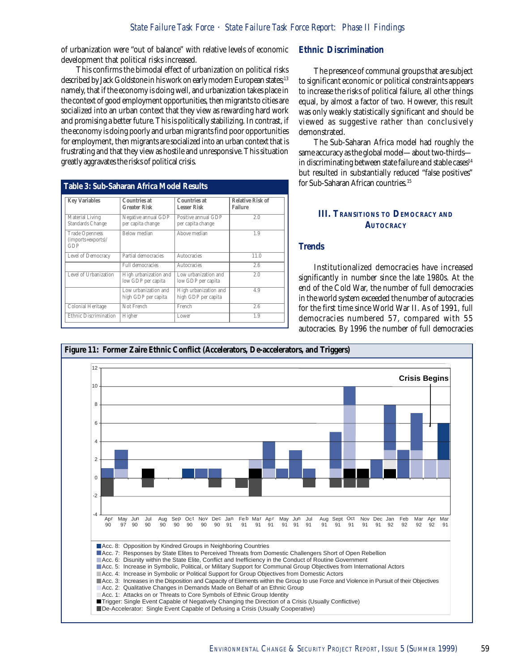of urbanization were "out of balance" with relative levels of economic development that political risks increased.

This confirms the bimodal effect of urbanization on political risks described by Jack Goldstone in his work on early modern European states;<sup>13</sup> namely, that if the economy is doing well, and urbanization takes place in the context of good employment opportunities, then migrants to cities are socialized into an urban context that they view as rewarding hard work and promising a better future. This is politically stabilizing. In contrast, if the economy is doing poorly and urban migrants find poor opportunities for employment, then migrants are socialized into an urban context that is frustrating and that they view as hostile and unresponsive. This situation greatly aggravates the risks of political crisis.

| <b>Key Variables</b>                               | Countries at<br><b>Greater Risk</b>         | Countries at<br>Lesser Risk                  | Relative Risk of<br><b>Failure</b> |
|----------------------------------------------------|---------------------------------------------|----------------------------------------------|------------------------------------|
| Material Living<br>Standards Change                | Negative annual GDP<br>per capita change    | Positive annual GDP<br>per capita change     | 2.0                                |
| <b>Trade Openness</b><br>(imports+exports)/<br>GDP | Below median                                | Above median                                 | 1.9                                |
| Level of Democracy                                 | Partial democracies                         | Autocracies                                  | 11.0                               |
|                                                    | <b>Full democracies</b>                     | Autocracies                                  | 2.6                                |
| Level of Urbanization                              | High urbanization and<br>low GDP per capita | Low urbanization and<br>low GDP per capita   | 2.0                                |
|                                                    | Low urbanization and<br>high GDP per capita | High urbanization and<br>high GDP per capita | 4.9                                |
| Colonial Heritage                                  | Not French                                  | French                                       | 2.6                                |
| Ethnic Discrimination                              | Higher                                      | Lower                                        | 1.9                                |

#### **Ethnic Discrimination**

The presence of communal groups that are subject to significant economic or political constraints appears to increase the risks of political failure, all other things equal, by almost a factor of two. However, this result was only weakly statistically significant and should be viewed as suggestive rather than conclusively demonstrated.

The Sub-Saharan Africa model had roughly the same accuracy as the global model—about two-thirds in discriminating between state failure and stable cases<sup>14</sup> but resulted in substantially reduced "false positives" for Sub-Saharan African countries.<sup>15</sup>

# **III. TRANSITIONS TO DEMOCRACY AND AUTOCRACY**

#### **Trends**

Institutionalized democracies have increased significantly in number since the late 1980s. At the end of the Cold War, the number of full democracies in the world system exceeded the number of autocracies for the first time since World War II. As of 1991, full democracies numbered 57, compared with 55 autocracies. By 1996 the number of full democracies

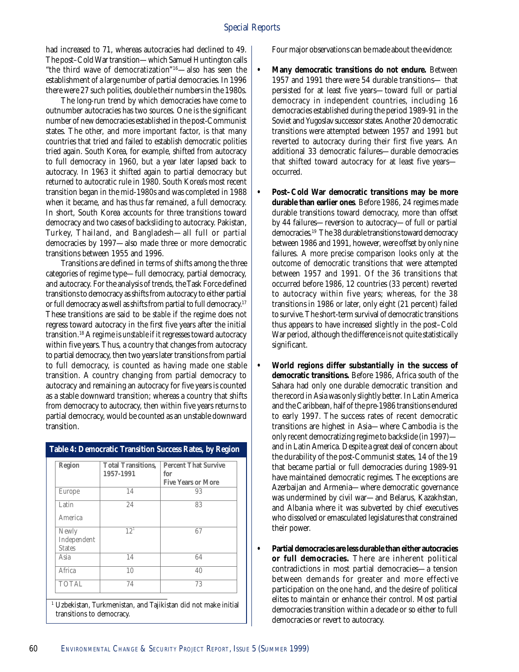had increased to 71, whereas autocracies had declined to 49. The post–Cold War transition—which Samuel Huntington calls "the third wave of democratization"16—also has seen the establishment of a large number of partial democracies. In 1996 there were 27 such polities, double their numbers in the 1980s.

The long-run trend by which democracies have come to outnumber autocracies has two sources. One is the significant number of new democracies established in the post-Communist states. The other, and more important factor, is that many countries that tried and failed to establish democratic polities tried again. South Korea, for example, shifted from autocracy to full democracy in 1960, but a year later lapsed back to autocracy. In 1963 it shifted again to partial democracy but returned to autocratic rule in 1980. South Korea's most recent transition began in the mid-1980s and was completed in 1988 when it became, and has thus far remained, a full democracy. In short, South Korea accounts for three transitions toward democracy and two cases of backsliding to autocracy. Pakistan, Turkey, Thailand, and Bangladesh—all full or partial democracies by 1997—also made three or more democratic transitions between 1955 and 1996.

Transitions are defined in terms of shifts among the three categories of regime type—full democracy, partial democracy, and autocracy. For the analysis of trends, the Task Force defined transitions to democracy as shifts from autocracy to either partial or full democracy as well as shifts from partial to full democracy.<sup>17</sup> These transitions are said to be *stable* if the regime does not regress toward autocracy in the first five years after the initial transition.18 A regime is *unstable* if it regresses toward autocracy within five years. Thus, a country that changes from autocracy to partial democracy, then two years later transitions from partial to full democracy, is counted as having made one stable transition. A country changing from partial democracy to autocracy and remaining an autocracy for five years is counted as a stable downward transition; whereas a country that shifts from democracy to autocracy, then within five years returns to partial democracy, would be counted as an unstable downward transition.

| Region                                | <b>Total Transitions,</b><br>1957-1991 | <b>Percent That Survive</b><br>for<br><b>Five Years or More</b> |
|---------------------------------------|----------------------------------------|-----------------------------------------------------------------|
| Europe                                | 14                                     | 93                                                              |
| Latin<br>America                      | 24                                     | 83                                                              |
| Newly<br>Independent<br><b>States</b> | $12^{1}$                               | 67                                                              |
| Asia                                  | 14                                     | 64                                                              |
| Africa                                | 10                                     | 40                                                              |
| <b>TOTAL</b>                          | 74                                     | 73                                                              |

**Table 4: Democratic Transition Success Rates, by Region**

1 Uzbekistan, Turkmenistan, and Tajikistan did not make initial transitions to democracy.

Four major observations can be made about the evidence:

- **Many democratic transitions do not endure.** Between 1957 and 1991 there were 54 durable transitions— that persisted for at least five years—toward full or partial democracy in independent countries, including 16 democracies established during the period 1989-91 in the Soviet and Yugoslav successor states. Another 20 democratic transitions were attempted between 1957 and 1991 but reverted to autocracy during their first five years. An additional 33 democratic failures—durable democracies that shifted toward autocracy for at least five years occurred.
	- **Post–Cold War democratic transitions may be more durable than earlier ones**. Before 1986, 24 regimes made durable transitions toward democracy, more than offset by 44 failures—reversion to autocracy—of full or partial democracies.19 The 38 durable transitions toward democracy between 1986 and 1991, however, were offset by only nine failures. A more precise comparison looks only at the outcome of democratic transitions that were attempted between 1957 and 1991. Of the 36 transitions that occurred before 1986, 12 countries (33 percent) reverted to autocracy within five years; whereas, for the 38 transitions in 1986 or later, only eight (21 percent) failed to survive. The short-term survival of democratic transitions thus appears to have increased slightly in the post–Cold War period, although the difference is not quite statistically significant.
	- **World regions differ substantially in the success of democratic transitions.** Before 1986, Africa south of the Sahara had only one durable democratic transition and the record in Asia was only slightly better. In Latin America and the Caribbean, half of the pre-1986 transitions endured to early 1997. The success rates of recent democratic transitions are highest in Asia—where Cambodia is the only recent democratizing regime to backslide (in 1997) and in Latin America. Despite a great deal of concern about the durability of the post-Communist states, 14 of the 19 that became partial or full democracies during 1989-91 have maintained democratic regimes. The exceptions are Azerbaijan and Armenia—where democratic governance was undermined by civil war—and Belarus, Kazakhstan, and Albania where it was subverted by chief executives who dissolved or emasculated legislatures that constrained their power.
	- **Partial democracies are less durable than either autocracies or full democracies.** There are inherent political contradictions in most partial democracies—a tension between demands for greater and more effective participation on the one hand, and the desire of political elites to maintain or enhance their control. Most partial democracies transition within a decade or so either to full democracies or revert to autocracy.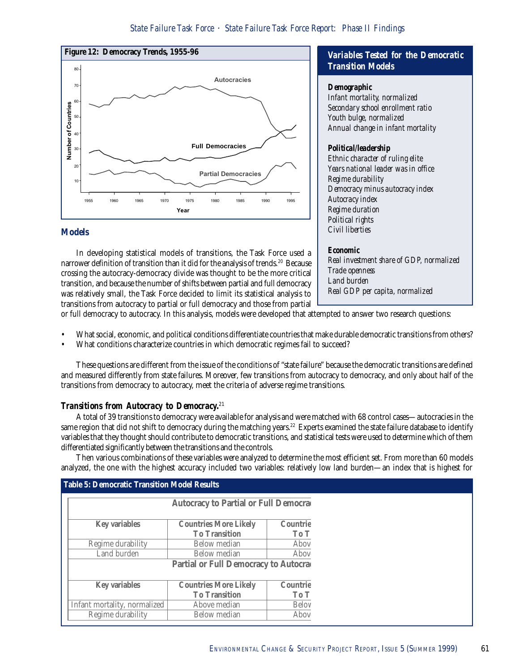

#### **Models**

In developing statistical models of transitions, the Task Force used a narrower definition of transition than it did for the analysis of trends.<sup>20</sup> Because crossing the autocracy-democracy divide was thought to be the more critical transition, and because the number of shifts between partial and full democracy was relatively small, the Task Force decided to limit its statistical analysis to transitions from autocracy to partial or full democracy and those from partial

# *Variables Tested for the Democratic Transition Models*

#### *Demographic*

*Infant mortality, normalized Secondary school enrollment ratio Youth bulge, normalized Annual change in infant mortality*

## *Political/leadership*

*Ethnic character of ruling elite Years national leader was in office Regime durability Democracy minus autocracy index Autocracy index Regime duration Political rights Civil liberties*

# *Economic*

*Real investment share of GDP, normalized Trade openness Land burden Real GDP per capita, normalized*

or full democracy to autocracy. In this analysis, models were developed that attempted to answer two research questions:

- What social, economic, and political conditions differentiate countries that make durable democratic transitions from others?
- What conditions characterize countries in which democratic regimes fail to succeed?

These questions are different from the issue of the conditions of "state failure" because the democratic transitions are defined and measured differently from state failures. Moreover, few transitions from autocracy to democracy, and only about half of the transitions from democracy to autocracy, meet the criteria of adverse regime transitions.

# *Transitions from Autocracy to Democracy.*<sup>21</sup>

A total of 39 transitions to democracy were available for analysis and were matched with 68 control cases—autocracies in the same region that did not shift to democracy during the matching years.<sup>22</sup> Experts examined the state failure database to identify variables that they thought should contribute to democratic transitions, and statistical tests were used to determine which of them differentiated significantly between the transitions and the controls.

Then various combinations of these variables were analyzed to determine the most efficient set. From more than 60 models analyzed, the one with the highest accuracy included two variables: relatively low land burden—an index that is highest for

| <b>Table 5: Democratic Transition Model Results</b> |                                      |          |  |
|-----------------------------------------------------|--------------------------------------|----------|--|
|                                                     | Autocracy to Partial or Full Democra |          |  |
| <b>Key variables</b>                                | <b>Countries More Likely</b>         | Countrie |  |
|                                                     | <b>To Transition</b>                 | To T     |  |
| Regime durability                                   | Below median                         | Abov     |  |
| Land burden                                         | <b>Below</b> median                  | Abov     |  |
|                                                     | Partial or Full Democracy to Autocra |          |  |
|                                                     |                                      |          |  |
| <b>Key variables</b>                                | <b>Countries More Likely</b>         | Countrie |  |
|                                                     | <b>To Transition</b>                 | To T     |  |
| Infant mortality, normalized                        | Above median                         | Belov    |  |
| Regime durability                                   | Below median                         | Abov     |  |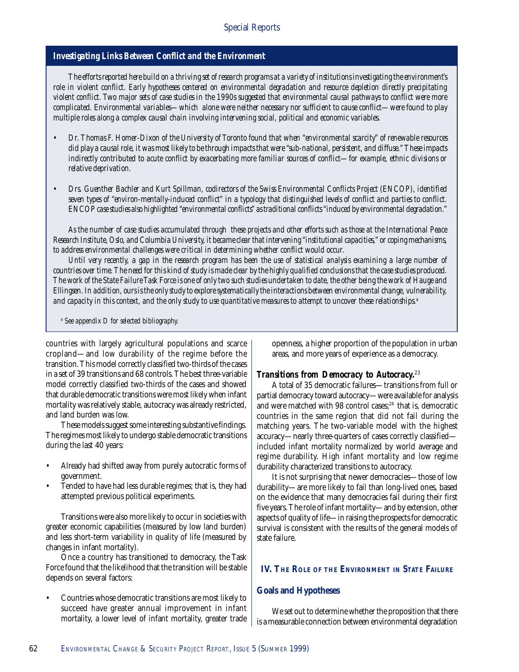# *Investigating Links Between Conflict and the Environment*

*The efforts reported here build on a thriving set of research programs at a variety of institutions investigating the environment's role in violent conflict. Early hypotheses centered on environmental degradation and resource depletion directly precipitating violent conflict. Two major sets of case studies in the 1990s suggested that environmental causal pathways to conflict were more complicated. Environmental variables—which alone were neither necessary nor sufficient to cause conflict—were found to play multiple roles along a complex causal chain involving intervening social, political and economic variables.*

- *Dr. Thomas F. Homer-Dixon of the University of Toronto found that when "environmental scarcity" of renewable resources did play a causal role, it was most likely to be through impacts that were "sub-national, persistent, and diffuse." These impacts indirectly contributed to acute conflict by exacerbating more familiar sources of conflict—for example, ethnic divisions or relative deprivation.*
- *Drs. Guenther Bachler and Kurt Spillman, codirectors of the Swiss Environmental Conflicts Project (ENCOP), identified seven types of "environ-mentally-induced conflict" in a typology that distinguished levels of conflict and parties to conflict. ENCOP case studies also highlighted "environmental conflicts" as traditional conflicts "induced by environmental degradation."*

*As the number of case studies accumulated through these projects and other efforts such as those at the International Peace Research Institute, Oslo, and Columbia University, it became clear that intervening "institutional capacities," or coping mechanisms, to address environmental challenges were critical in determining whether conflict would occur.*

*Until very recently, a gap in the research program has been the use of statistical analysis examining a large number of countries over time. The need for this kind of study is made clear by the highly qualified conclusions that the case studies produced. The work of the State Failure Task Force is one of only two such studies undertaken to date, the other being the work of Hauge and Ellingsen. In addition, ours is the only study to explore systematically the interactions between environmental change, vulnerability, and capacity in this context, and the only study to use quantitative measures to attempt to uncover these relationships.a*

*a See appendix D for selected bibliography.*

countries with largely agricultural populations and scarce cropland—and low durability of the regime before the transition. This model correctly classified two-thirds of the cases in a set of 39 transitions and 68 controls. The best three-variable model correctly classified two-thirds of the cases and showed that durable democratic transitions were most likely when infant mortality was relatively stable, autocracy was already restricted, and land burden was low.

These models suggest some interesting substantive findings. The regimes most likely to undergo stable democratic transitions during the last 40 years:

- Already had shifted away from purely autocratic forms of government.
- Tended to have had less durable regimes; that is, they had attempted previous political experiments.

Transitions were also more likely to occur in societies with greater economic capabilities (measured by low land burden) and less short-term variability in quality of life (measured by changes in infant mortality).

Once a country has transitioned to democracy, the Task Force found that the likelihood that the transition will be stable depends on several factors:

• Countries whose democratic transitions are most likely to succeed have greater annual improvement in infant mortality, a lower level of infant mortality, greater trade openness, a higher proportion of the population in urban areas, and more years of experience as a democracy.

#### *Transitions from Democracy to Autocracy.*<sup>23</sup>

A total of 35 democratic failures—transitions from full or partial democracy toward autocracy—were available for analysis and were matched with 98 control cases;<sup>24</sup> that is, democratic countries in the same region that did not fail during the matching years. The two-variable model with the highest accuracy—nearly three-quarters of cases correctly classified included infant mortality normalized by world average and regime durability. High infant mortality and low regime durability characterized transitions to autocracy.

It is not surprising that newer democracies—those of low durability—are more likely to fail than long-lived ones, based on the evidence that many democracies fail during their first five years. The role of infant mortality—and by extension, other aspects of quality of life—in raising the prospects for democratic survival is consistent with the results of the general models of state failure.

# **IV. THE ROLE OF THE ENVIRONMENT IN STATE FAILURE**

#### **Goals and Hypotheses**

We set out to determine whether the proposition that there is a measurable connection between environmental degradation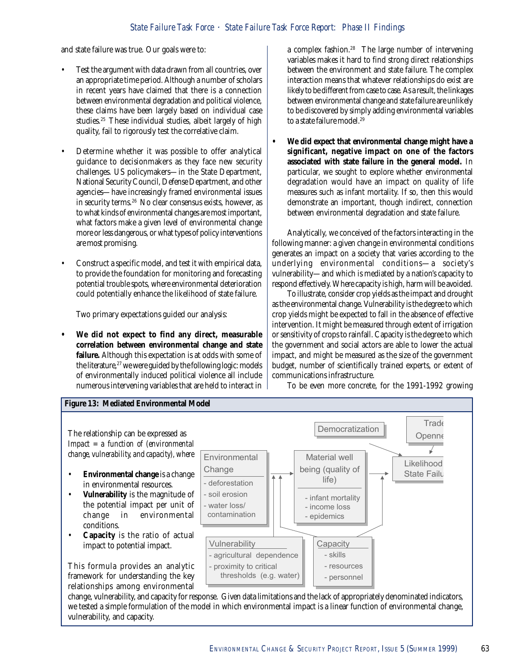and state failure was true. Our goals were to:

- Test the argument with data drawn from all countries, over an appropriate time period. Although a number of scholars in recent years have claimed that there is a connection between environmental degradation and political violence, these claims have been largely based on individual case studies.<sup>25</sup> These individual studies, albeit largely of high quality, fail to rigorously test the correlative claim.
- Determine whether it was possible to offer analytical guidance to decisionmakers as they face new security challenges. US policymakers—in the State Department, National Security Council, Defense Department, and other agencies—have increasingly framed environmental issues in security terms.26 No clear consensus exists, however, as to what kinds of environmental changes are most important, what factors make a given level of environmental change more or less dangerous, or what types of policy interventions are most promising.
- Construct a specific model, and test it with empirical data, to provide the foundation for monitoring and forecasting potential trouble spots, where environmental deterioration could potentially enhance the likelihood of state failure.

Two primary expectations guided our analysis:

**• We did not expect to find any direct, measurable correlation between environmental change and state failure.** Although this expectation is at odds with some of the literature, $27$  we were guided by the following logic: models of environmentally induced political violence all include numerous intervening variables that are held to interact in a complex fashion.<sup>28</sup> The large number of intervening variables makes it hard to find strong direct relationships between the environment and state failure. The complex interaction means that whatever relationships do exist are likely to be different from case to case. As a result, the linkages between environmental change and state failure are unlikely to be discovered by simply adding environmental variables to a state failure model.<sup>29</sup>

**• We did expect that environmental change might have a significant, negative impact on one of the factors associated with state failure in the general model.** In particular, we sought to explore whether environmental degradation would have an impact on quality of life measures such as infant mortality. If so, then this would demonstrate an important, though indirect, connection between environmental degradation and state failure.

Analytically, we conceived of the factors interacting in the following manner: a given change in environmental conditions generates an impact on a society that varies according to the underlying environmental conditions—a society's vulnerability—and which is mediated by a nation's capacity to respond effectively. Where capacity is high, harm will be avoided.

To illustrate, consider crop yields as the impact and drought as the environmental change. Vulnerability is the degree to which crop yields might be expected to fall in the absence of effective intervention. It might be measured through extent of irrigation or sensitivity of crops to rainfall. Capacity is the degree to which the government and social actors are able to lower the actual impact, and might be measured as the size of the government budget, number of scientifically trained experts, or extent of communications infrastructure.

To be even more concrete, for the 1991-1992 growing



change, vulnerability, and capacity for response. Given data limitations and the lack of appropriately denominated indicators, we tested a simple formulation of the model in which environmental impact is a linear function of environmental change, vulnerability, and capacity.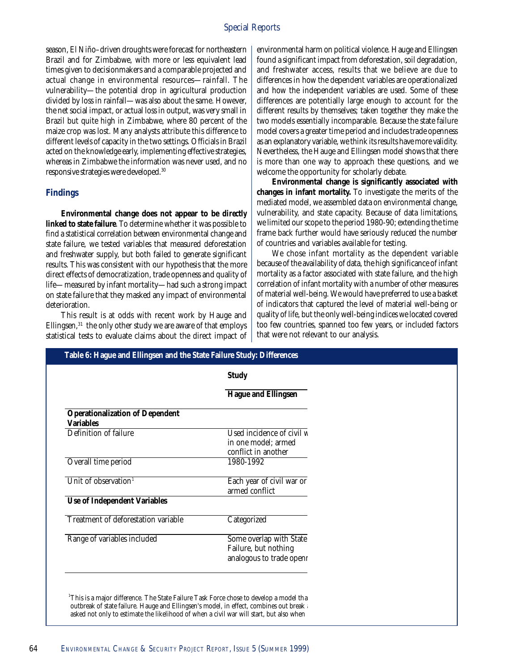season, El Niño–driven droughts were forecast for northeastern Brazil and for Zimbabwe, with more or less equivalent lead times given to decisionmakers and a comparable projected and actual change in environmental resources—rainfall. The vulnerability—the potential drop in agricultural production divided by loss in rainfall—was also about the same. However, the net social impact, or actual loss in output, was very small in Brazil but quite high in Zimbabwe, where 80 percent of the maize crop was lost. Many analysts attribute this difference to different levels of capacity in the two settings. Officials in Brazil acted on the knowledge early, implementing effective strategies, whereas in Zimbabwe the information was never used, and no responsive strategies were developed.30

#### **Findings**

**Environmental change does not appear to be** *directly* **linked to state failure**. To determine whether it was possible to find a statistical correlation between environmental change and state failure, we tested variables that measured deforestation and freshwater supply, but both failed to generate significant results. This was consistent with our hypothesis that the more direct effects of democratization, trade openness and quality of life—measured by infant mortality—had such a strong impact on state failure that they masked any impact of environmental deterioration.

This result is at odds with recent work by Hauge and Ellingsen, $31$  the only other study we are aware of that employs statistical tests to evaluate claims about the direct impact of

environmental harm on political violence. Hauge and Ellingsen found a significant impact from deforestation, soil degradation, and freshwater access, results that we believe are due to differences in how the dependent variables are operationalized and how the independent variables are used. Some of these differences are potentially large enough to account for the different results by themselves; taken together they make the two models essentially incomparable. Because the state failure model covers a greater time period and includes trade openness as an explanatory variable, we think its results have more validity. Nevertheless, the Hauge and Ellingsen model shows that there is more than one way to approach these questions, and we welcome the opportunity for scholarly debate.

**Environmental change is significantly associated with changes in infant mortality.** To investigate the merits of the mediated model, we assembled data on environmental change, vulnerability, and state capacity. Because of data limitations, we limited our scope to the period 1980-90; extending the time frame back further would have seriously reduced the number of countries and variables available for testing.

We chose infant mortality as the dependent variable because of the availability of data, the high significance of infant mortality as a factor associated with state failure, and the high correlation of infant mortality with a number of other measures of material well-being. We would have preferred to use a basket of indicators that captured the level of material well-being or quality of life, but the only well-being indices we located covered too few countries, spanned too few years, or included factors that were not relevant to our analysis.

|                                                            | <b>Study</b>                                                                |
|------------------------------------------------------------|-----------------------------------------------------------------------------|
|                                                            | <b>Hague and Ellingsen</b>                                                  |
| <b>Operationalization of Dependent</b><br><b>Variables</b> |                                                                             |
| Definition of failure                                      | Used incidence of civil w<br>in one model; armed<br>conflict in another     |
| Overall time period                                        | 1980-1992                                                                   |
| Unit of observation <sup>1</sup>                           | Each year of civil war or<br>armed conflict                                 |
| <b>Use of Independent Variables</b>                        |                                                                             |
| Treatment of deforestation variable                        | Categorized                                                                 |
| Range of variables included                                | Some overlap with State<br>Failure, but nothing<br>analogous to trade openr |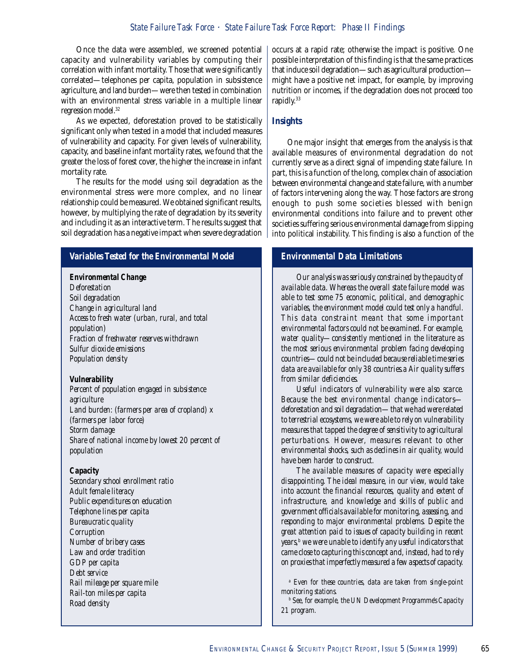# *Author* ⋅ *Title State Failure Task Force* ⋅ *State Failure Task Force Report: Phase II Findings*

Once the data were assembled, we screened potential capacity and vulnerability variables by computing their correlation with infant mortality. Those that were significantly correlated—telephones per capita, population in subsistence agriculture, and land burden—were then tested in combination with an environmental stress variable in a multiple linear regression model.<sup>32</sup>

As we expected, deforestation proved to be statistically significant only when tested in a model that included measures of vulnerability and capacity. For given levels of vulnerability, capacity, and baseline infant mortality rates, we found that the greater the loss of forest cover, the higher the increase in infant mortality rate.

The results for the model using soil degradation as the environmental stress were more complex, and no linear relationship could be measured. We obtained significant results, however, by multiplying the rate of degradation by its severity and including it as an interactive term. The results suggest that soil degradation has a negative impact when severe degradation

# *Variables Tested for the Environmental Model*

#### *Environmental Change*

*Deforestation Soil degradation Change in agricultural land Access to fresh water (urban, rural, and total population) Fraction of freshwater reserves withdrawn Sulfur dioxide emissions Population density*

#### *Vulnerability*

*Percent of population engaged in subsistence agriculture Land burden: (farmers per area of cropland) x (farmers per labor force) Storm damage Share of national income by lowest 20 percent of population*

#### *Capacity*

*Secondary school enrollment ratio Adult female literacy Public expenditures on education Telephone lines per capita Bureaucratic quality Corruption Number of bribery cases Law and order tradition GDP per capita Debt service Rail mileage per square mile Rail-ton miles per capita Road density*

occurs at a rapid rate; otherwise the impact is positive. One possible interpretation of this finding is that the same practices that induce soil degradation—such as agricultural production might have a positive net impact, for example, by improving nutrition or incomes, if the degradation does not proceed too rapidly.33

## **Insights**

One major insight that emerges from the analysis is that available measures of environmental degradation do not currently serve as a direct signal of impending state failure. In part, this is a function of the long, complex chain of association between environmental change and state failure, with a number of factors intervening along the way. Those factors are strong enough to push some societies blessed with benign environmental conditions into failure and to prevent other societies suffering serious environmental damage from slipping into political instability. This finding is also a function of the

# *Environmental Data Limitations*

*Our analysis was seriously constrained by the paucity of available data. Whereas the overall state failure model was able to test some 75 economic, political, and demographic variables, the environment model could test only a handful. This data constraint meant that some important environmental factors could not be examined. For example, water quality—consistently mentioned in the literature as the most serious environmental problem facing developing countries—could not be included because reliable time series data are available for only 38 countries.a Air quality suffers from similar deficiencies.*

*Useful indicators of vulnerability were also scarce. Because the best environmental change indicators deforestation and soil degradation—that we had were related to terrestrial ecosystems, we were able to rely on vulnerability measures that tapped the degree of sensitivity to agricultural perturbations. However, measures relevant to other environmental shocks, such as declines in air quality, would have been harder to construct.*

*The available measures of capacity were especially disappointing. The ideal measure, in our view, would take into account the financial resources, quality and extent of infrastructure, and knowledge and skills of public and government officials available for monitoring, assessing, and responding to major environmental problems. Despite the great attention paid to issues of capacity building in recent years,b we were unable to identify any useful indicators that came close to capturing this concept and, instead, had to rely on proxies that imperfectly measured a few aspects of capacity.*

*a Even for these countries, data are taken from single-point monitoring stations.*

*b See, for example, the UN Development Programme's Capacity 21 program.*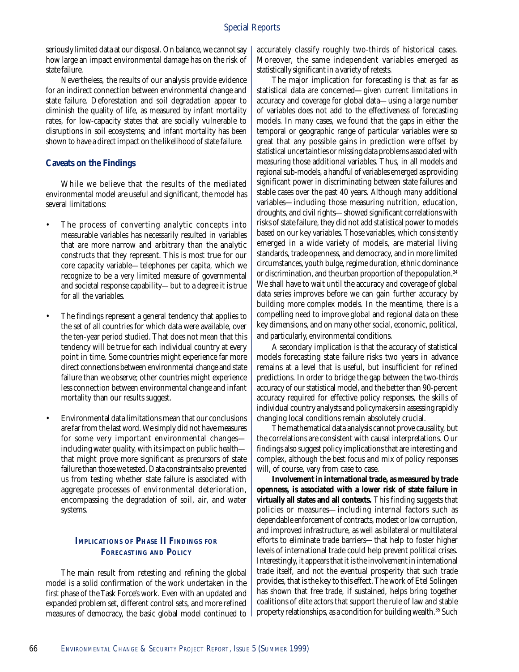seriously limited data at our disposal. On balance, we cannot say how large an impact environmental damage has on the risk of state failure.

Nevertheless, the results of our analysis provide evidence for an indirect connection between environmental change and state failure. Deforestation and soil degradation appear to diminish the quality of life, as measured by infant mortality rates, for low-capacity states that are socially vulnerable to disruptions in soil ecosystems; and infant mortality has been shown to have a direct impact on the likelihood of state failure.

#### **Caveats on the Findings**

While we believe that the results of the mediated environmental model are useful and significant, the model has several limitations:

- The process of converting analytic concepts into measurable variables has necessarily resulted in variables that are more narrow and arbitrary than the analytic constructs that they represent. This is most true for our core capacity variable—telephones per capita, which we recognize to be a very limited measure of governmental and societal response capability—but to a degree it is true for all the variables.
- The findings represent a general tendency that applies to the set of all countries for which data were available, over the ten-year period studied. That does not mean that this tendency will be true for each individual country at every point in time. Some countries might experience far more direct connections between environmental change and state failure than we observe; other countries might experience less connection between environmental change and infant mortality than our results suggest.
- Environmental data limitations mean that our conclusions are far from the last word. We simply did not have measures for some very important environmental changes including water quality, with its impact on public health that might prove more significant as precursors of state failure than those we tested. Data constraints also prevented us from testing whether state failure is associated with aggregate processes of environmental deterioration, encompassing the degradation of soil, air, and water systems.

# **IMPLICATIONS OF PHASE II FINDINGS FOR FORECASTING AND POLICY**

The main result from retesting and refining the global model is a solid confirmation of the work undertaken in the first phase of the Task Force's work. Even with an updated and expanded problem set, different control sets, and more refined measures of democracy, the basic global model continued to

accurately classify roughly two-thirds of historical cases. Moreover, the same independent variables emerged as statistically significant in a variety of retests.

The major implication for forecasting is that as far as statistical data are concerned—given current limitations in accuracy and coverage for global data—using a large number of variables does not add to the effectiveness of forecasting models. In many cases, we found that the gaps in either the temporal or geographic range of particular variables were so great that any possible gains in prediction were offset by statistical uncertainties or missing data problems associated with measuring those additional variables. Thus, in all models and regional sub-models, a handful of variables emerged as providing significant power in discriminating between state failures and stable cases over the past 40 years. Although many additional variables—including those measuring nutrition, education, droughts, and civil rights—showed significant correlations with risks of state failure, they did not add statistical power to models based on our key variables. Those variables, which consistently emerged in a wide variety of models, are material living standards, trade openness, and democracy, and in more limited circumstances, youth bulge, regime duration, ethnic dominance or discrimination, and the urban proportion of the population.<sup>34</sup> We shall have to wait until the accuracy and coverage of global data series improves before we can gain further accuracy by building more complex models. In the meantime, there is a compelling need to improve global and regional data on these key dimensions, and on many other social, economic, political, and particularly, environmental conditions.

A secondary implication is that the accuracy of statistical models forecasting state failure risks two years in advance remains at a level that is useful, but insufficient for refined predictions. In order to bridge the gap between the two-thirds accuracy of our statistical model, and the better than 90-percent accuracy required for effective policy responses, the skills of individual country analysts and policymakers in assessing rapidly changing local conditions remain absolutely crucial.

The mathematical data analysis cannot prove causality, but the correlations are consistent with causal interpretations. Our findings also suggest policy implications that are interesting and complex, although the best focus and mix of policy responses will, of course, vary from case to case.

**Involvement in international trade, as measured by trade openness, is associated with a lower risk of state failure in virtually all states and all contexts.** This finding suggests that policies or measures—including internal factors such as dependable enforcement of contracts, modest or low corruption, and improved infrastructure, as well as bilateral or multilateral efforts to eliminate trade barriers—that help to foster higher levels of international trade could help prevent political crises. Interestingly, it appears that it is the involvement in international trade itself, and not the eventual prosperity that such trade provides, that is the key to this effect. The work of Etel Solingen has shown that free trade, if sustained, helps bring together coalitions of elite actors that support the rule of law and stable property relationships, as a condition for building wealth.<sup>35</sup> Such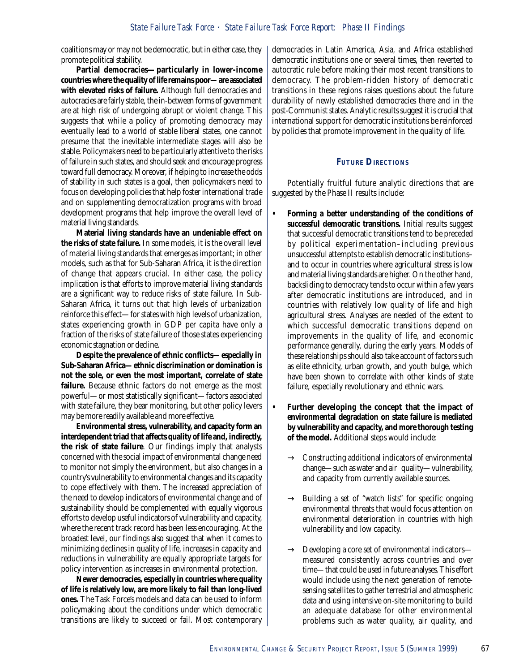coalitions may or may not be democratic, but in either case, they promote political stability.

**Partial democracies—particularly in lower-income countries where the quality of life remains poor—are associated with elevated risks of failure.** Although full democracies and autocracies are fairly stable, the in-between forms of government are at high risk of undergoing abrupt or violent change. This suggests that while a policy of promoting democracy may eventually lead to a world of stable liberal states, one cannot presume that the inevitable intermediate stages will also be stable. Policymakers need to be particularly attentive to the risks of failure in such states, and should seek and encourage progress toward full democracy. Moreover, if helping to increase the odds of stability in such states is a goal, then policymakers need to focus on developing policies that help foster international trade and on supplementing democratization programs with broad development programs that help improve the overall level of material living standards.

**Material living standards have an undeniable effect on the risks of state failure.** In some models, it is the overall level of material living standards that emerges as important; in other models, such as that for Sub-Saharan Africa, it is the direction of change that appears crucial. In either case, the policy implication is that efforts to improve material living standards are a significant way to reduce risks of state failure. In Sub-Saharan Africa, it turns out that high levels of urbanization reinforce this effect—for states with high levels of urbanization, states experiencing growth in GDP per capita have only a fraction of the risks of state failure of those states experiencing economic stagnation or decline.

**Despite the prevalence of ethnic conflicts—especially in Sub-Saharan Africa—ethnic discrimination or domination is not the sole, or even the most important, correlate of state failure.** Because ethnic factors do not emerge as the most powerful—or most statistically significant—factors associated with state failure, they bear monitoring, but other policy levers may be more readily available and more effective.

**Environmental stress, vulnerability, and capacity form an interdependent triad that affects quality of life and, indirectly, the risk of state failure**. Our findings imply that analysts concerned with the social impact of environmental change need to monitor not simply the environment, but also changes in a country's vulnerability to environmental changes and its capacity to cope effectively with them. The increased appreciation of the need to develop indicators of environmental change and of sustainability should be complemented with equally vigorous efforts to develop useful indicators of vulnerability and capacity, where the recent track record has been less encouraging. At the broadest level, our findings also suggest that when it comes to minimizing declines in quality of life, increases in capacity and reductions in vulnerability are equally appropriate targets for policy intervention as increases in environmental protection.

**Newer democracies, especially in countries where quality of life is relatively low, are more likely to fail than long-lived ones.** The Task Force's models and data can be used to inform policymaking about the conditions under which democratic transitions are likely to succeed or fail. Most contemporary democracies in Latin America, Asia, and Africa established democratic institutions one or several times, then reverted to autocratic rule before making their most recent transitions to democracy. The problem-ridden history of democratic transitions in these regions raises questions about the future durability of newly established democracies there and in the post-Communist states. Analytic results suggest it is crucial that international support for democratic institutions be reinforced by policies that promote improvement in the quality of life.

#### **FUTURE DIRECTIONS**

Potentially fruitful future analytic directions that are suggested by the Phase II results include:

- **Forming a better understanding of the conditions of successful democratic transitions.** Initial results suggest that successful democratic transitions tend to be preceded by political experimentation–including previous unsuccessful attempts to establish democratic institutions– and to occur in countries where agricultural stress is low and material living standards are higher. On the other hand, backsliding to democracy tends to occur within a few years after democratic institutions are introduced, and in countries with relatively low quality of life and high agricultural stress. Analyses are needed of the extent to which successful democratic transitions depend on improvements in the quality of life, and economic performance generally, during the early years. Models of these relationships should also take account of factors such as elite ethnicity, urban growth, and youth bulge, which have been shown to correlate with other kinds of state failure, especially revolutionary and ethnic wars.
- **Further developing the concept that the impact of environmental degradation on state failure is mediated by vulnerability and capacity, and more thorough testing of the model.** Additional steps would include:
	- $\rightarrow$  Constructing additional indicators of environmental change—such as water and air quality—vulnerability, and capacity from currently available sources.
	- $\rightarrow$  Building a set of "watch lists" for specific ongoing environmental threats that would focus attention on environmental deterioration in countries with high vulnerability and low capacity.
	- $\rightarrow$  Developing a core set of environmental indicators measured consistently across countries and over time—that could be used in future analyses. This effort would include using the next generation of remotesensing satellites to gather terrestrial and atmospheric data and using intensive on-site monitoring to build an adequate database for other environmental problems such as water quality, air quality, and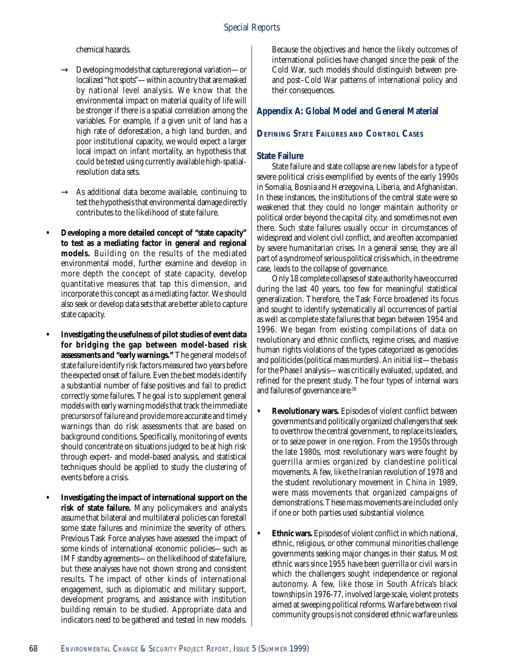chemical hazards.

- $\rightarrow$  Developing models that capture regional variation—or localized "hot spots"—within a country that are masked by national level analysis. We know that the environmental impact on material quality of life will be stronger if there is a spatial correlation among the variables. For example, if a given unit of land has a high rate of deforestation, a high land burden, and poor institutional capacity, we would expect a larger local impact on infant mortality, an hypothesis that could be tested using currently available high-spatialresolution data sets.
- $\rightarrow$  As additional data become available, continuing to test the hypothesis that environmental damage directly contributes to the likelihood of state failure.
- **Developing a more detailed concept of "state capacity" to test as a mediating factor in general and regional models.** Building on the results of the mediated environmental model, further examine and develop in more depth the concept of state capacity, develop quantitative measures that tap this dimension, and incorporate this concept as a mediating factor. We should also seek or develop data sets that are better able to capture state capacity.
- **Investigating the usefulness of pilot studies of event data for bridging the gap between model-based risk assessments and "early warnings."** The general models of state failure identify risk factors measured two years before the expected onset of failure. Even the best models identify a substantial number of false positives and fail to predict correctly some failures. The goal is to supplement general models with early warning models that track the immediate precursors of failure and provide more accurate and timely warnings than do risk assessments that are based on background conditions. Specifically, monitoring of events should concentrate on situations judged to be at high risk through expert- and model-based analysis, and statistical techniques should be applied to study the clustering of events before a crisis.
- **Investigating the impact of international support on the risk of state failure.** Many policymakers and analysts assume that bilateral and multilateral policies can forestall some state failures and minimize the severity of others. Previous Task Force analyses have assessed the impact of some kinds of international economic policies—such as IMF standby agreements—on the likelihood of state failure, but these analyses have not shown strong and consistent results. The impact of other kinds of international engagement, such as diplomatic and military support, development programs, and assistance with institution building remain to be studied. Appropriate data and indicators need to be gathered and tested in new models.

Because the objectives and hence the likely outcomes of international policies have changed since the peak of the Cold War, such models should distinguish between preand post–Cold War patterns of international policy and their consequences.

# **Appendix A: Global Model and General Material**

# **DEFINING STATE FAILURES AND CONTROL CASES**

## **State Failure**

State failure and state collapse are new labels for a type of severe political crisis exemplified by events of the early 1990s in Somalia, Bosnia and Herzegovina, Liberia, and Afghanistan. In these instances, the institutions of the central state were so weakened that they could no longer maintain authority or political order beyond the capital city, and sometimes not even there. Such state failures usually occur in circumstances of widespread and violent civil conflict, and are often accompanied by severe humanitarian crises. In a general sense, they are all part of a syndrome of serious political crisis which, in the extreme case, leads to the collapse of governance.

Only 18 complete collapses of state authority have occurred during the last 40 years, too few for meaningful statistical generalization. Therefore, the Task Force broadened its focus and sought to identify systematically all occurrences of partial as well as complete state failures that began between 1954 and 1996. We began from existing compilations of data on revolutionary and ethnic conflicts, regime crises, and massive human rights violations of the types categorized as genocides and politicides (political mass murders). An initial list—the basis for the Phase I analysis—was critically evaluated, updated, and refined for the present study. The four types of internal wars and failures of governance are:36

- **Revolutionary wars.** Episodes of violent conflict between governments and politically organized challengers that seek to overthrow the central government, to replace its leaders, or to seize power in one region. From the 1950s through the late 1980s, most revolutionary wars were fought by guerrilla armies organized by clandestine political movements. A few, like the Iranian revolution of 1978 and the student revolutionary movement in China in 1989, were mass movements that organized campaigns of demonstrations. These mass movements are included only if one or both parties used substantial violence.
- **Ethnic wars.** Episodes of violent conflict in which national, ethnic, religious, or other communal minorities challenge governments seeking major changes in their status. Most ethnic wars since 1955 have been guerrilla or civil wars in which the challengers sought independence or regional autonomy. A few, like those in South Africa's black townships in 1976-77, involved large-scale, violent protests aimed at sweeping political reforms. Warfare between rival community groups is not considered ethnic warfare unless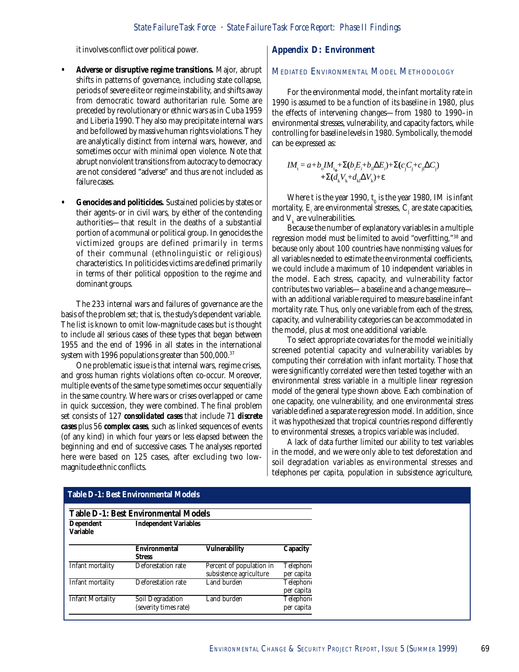it involves conflict over political power.

- **Adverse or disruptive regime transitions.** Major, abrupt shifts in patterns of governance, including state collapse, periods of severe elite or regime instability, and shifts away from democratic toward authoritarian rule. Some are preceded by revolutionary or ethnic wars as in Cuba 1959 and Liberia 1990. They also may precipitate internal wars and be followed by massive human rights violations. They are analytically distinct from internal wars, however, and sometimes occur with minimal open violence. Note that abrupt nonviolent transitions from autocracy to democracy are not considered "adverse" and thus are not included as failure cases.
- **Genocides and politicides.** Sustained policies by states or their agents–or in civil wars, by either of the contending authorities—that result in the deaths of a substantial portion of a communal or political group. In genocides the victimized groups are defined primarily in terms of their communal (ethnolinguistic or religious) characteristics. In politicides victims are defined primarily in terms of their political opposition to the regime and dominant groups.

The 233 internal wars and failures of governance are the basis of the problem set; that is, the study's dependent variable. The list is known to omit low-magnitude cases but is thought to include all serious cases of these types that began between 1955 and the end of 1996 in all states in the international system with 1996 populations greater than 500,000.<sup>37</sup>

One problematic issue is that internal wars, regime crises, and gross human rights violations often co-occur. Moreover, multiple events of the same type sometimes occur sequentially in the same country. Where wars or crises overlapped or came in quick succession, they were combined. The final problem set consists of 127 *consolidated cases* that include 71 *discrete cases* plus 56 *complex cases*, such as linked sequences of events (of any kind) in which four years or less elapsed between the beginning and end of successive cases. The analyses reported here were based on 125 cases, after excluding two lowmagnitude ethnic conflicts.

#### **Appendix D: Environment**

## MEDIATED ENVIRONMENTAL MODEL METHODOLOGY

For the environmental model, the infant mortality rate in 1990 is assumed to be a function of its baseline in 1980, plus the effects of intervening changes—from 1980 to 1990–in environmental stresses, vulnerability, and capacity factors, while controlling for baseline levels in 1980. Symbolically, the model can be expressed as:

$$
IM_{t} = a + b_{o} IM_{t_{o}} + \Sigma(b_{f}E_{i} + b_{i} \Delta E_{i}) + \Sigma(c_{j}C_{j} + c_{j} \Delta C_{j})
$$
  
+  $\Sigma(d_{k}V_{k} + d_{k} \Delta V_{k}) + \varepsilon$ 

Where t is the year 1990,  $\rm t_{\rm o}$  is the year 1980, IM is infant mortality,  $\boldsymbol{\mathrm{E_{i}}}$  are environmental stresses,  $\boldsymbol{\mathrm{C_{j}}}$  are state capacities, and  $V_{k}$  are vulnerabilities.

Because the number of explanatory variables in a multiple regression model must be limited to avoid "overfitting,"38 and because only about 100 countries have nonmissing values for all variables needed to estimate the environmental coefficients, we could include a maximum of 10 independent variables in the model. Each stress, capacity, and vulnerability factor contributes two variables—a baseline and a change measure with an additional variable required to measure baseline infant mortality rate. Thus, only one variable from each of the stress, capacity, and vulnerability categories can be accommodated in the model, plus at most one additional variable.

To select appropriate covariates for the model we initially screened potential capacity and vulnerability variables by computing their correlation with infant mortality. Those that were significantly correlated were then tested together with an environmental stress variable in a multiple linear regression model of the general type shown above. Each combination of one capacity, one vulnerability, and one environmental stress variable defined a separate regression model. In addition, since it was hypothesized that tropical countries respond differently to environmental stresses, a tropics variable was included.

A lack of data further limited our ability to test variables in the model, and we were only able to test deforestation and soil degradation variables as environmental stresses and telephones per capita, population in subsistence agriculture,

|                              | Table D-1: Best Environmental Models      |                                                     |                         |
|------------------------------|-------------------------------------------|-----------------------------------------------------|-------------------------|
| Dependent<br><b>Variable</b> | <b>Independent Variables</b>              |                                                     |                         |
|                              | <b>Environmental</b><br><b>Stress</b>     | <b>Vulnerability</b>                                | Capacity                |
| Infant mortality             | Deforestation rate                        | Percent of population in<br>subsistence agriculture | Telephone<br>per capita |
| Infant mortality             | Deforestation rate                        | Land burden                                         | Telephone<br>per capita |
| <b>Infant Mortality</b>      | Soil Degradation<br>(severity times rate) | Land burden                                         | Telephone<br>per capita |

#### **Table D-1: Best Environmental Models**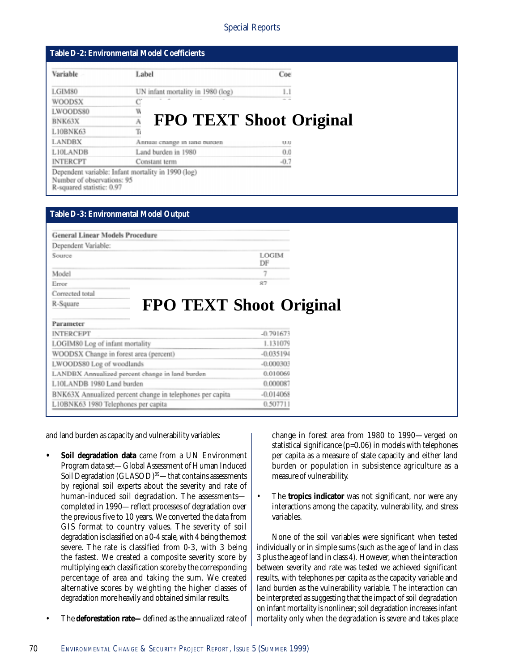| Variable<br>Coe<br>Label                                                                                      |
|---------------------------------------------------------------------------------------------------------------|
|                                                                                                               |
| UN infant mortality in 1980 (log)<br>LGIM80<br>1.1                                                            |
| <b>WOODSX</b><br>C                                                                                            |
| W<br>LWOODS80                                                                                                 |
| <b>FPO TEXT Shoot Original</b><br>BNK63X                                                                      |
| Ъ<br>L10BNK63                                                                                                 |
| <b>LANDBX</b><br>Annual change in land purden<br><b>MAL</b>                                                   |
| L10LANDB<br>Land burden in 1980<br>0.0                                                                        |
| <b>INTERCPT</b><br>$-0.7$<br>Constant term                                                                    |
| Dependent variable: Infant mortality in 1990 (log)<br>Number of observations: 95<br>R-squared statistic: 0.97 |

| <b>Table D-3: Environmental Model Output</b>              |                    |
|-----------------------------------------------------------|--------------------|
|                                                           |                    |
| <b>General Linear Models Procedure</b>                    |                    |
| Dependent Variable:                                       |                    |
| Scorree.                                                  | <b>LOGIM</b><br>DF |
| Model                                                     | 7                  |
| Error                                                     | 87                 |
|                                                           |                    |
| Corrected total                                           |                    |
| R-Square                                                  |                    |
| <b>FPO TEXT Shoot Original</b>                            |                    |
| Parameter                                                 |                    |
| <b>INTERCEPT</b>                                          | $-0.791673$        |
| LOGIM80 Log of infant mortality                           | 1.131079           |
| WOODSX Change in forest area (percent)                    | $-0.035194$        |
| LWOODS80 Log of woodlands                                 | $-0.000302$        |
| LANDBX Annualized percent change in land burden           | 0.010065           |
| L10LANDB 1980 Land burden                                 | 0.000087           |
| BNK63X Annualized percent change in telephones per capita | $-0.014068$        |

and land burden as capacity and vulnerability variables:

- **Soil degradation data** came from a UN Environment Program data set—Global Assessment of Human Induced Soil Degradation (GLASOD)<sup>39</sup>—that contains assessments by regional soil experts about the severity and rate of human-induced soil degradation. The assessments completed in 1990—reflect processes of degradation over the previous five to 10 years. We converted the data from GIS format to country values. The severity of soil degradation is classified on a 0-4 scale, with 4 being the most severe. The rate is classified from 0-3, with 3 being the fastest. We created a composite severity score by multiplying each classification score by the corresponding percentage of area and taking the sum. We created alternative scores by weighting the higher classes of degradation more heavily and obtained similar results.
- The **deforestation rate—**defined as the annualized rate of

change in forest area from 1980 to 1990—verged on statistical significance (p=0.06) in models with telephones per capita as a measure of state capacity and either land burden or population in subsistence agriculture as a measure of vulnerability.

• The **tropics indicator** was not significant, nor were any interactions among the capacity, vulnerability, and stress variables.

None of the soil variables were significant when tested individually or in simple sums (such as the age of land in class 3 plus the age of land in class 4). However, when the interaction between severity and rate was tested we achieved significant results, with telephones per capita as the capacity variable and land burden as the vulnerability variable. The interaction can be interpreted as suggesting that the impact of soil degradation on infant mortality is nonlinear; soil degradation increases infant mortality only when the degradation is severe and takes place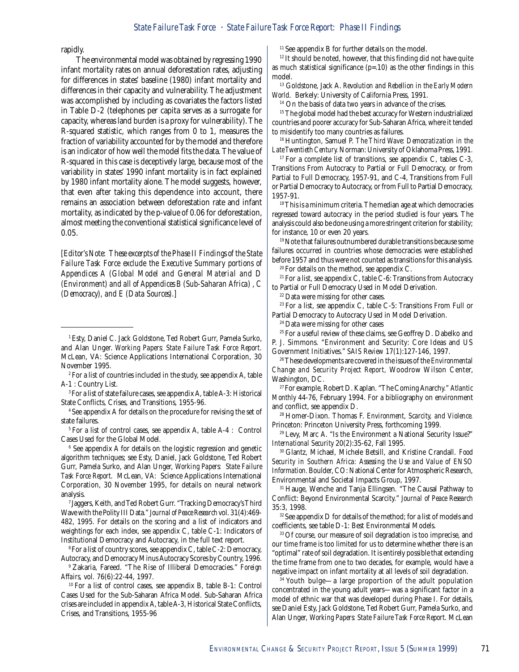rapidly.

The environmental model was obtained by regressing 1990 infant mortality rates on annual deforestation rates, adjusting for differences in states' baseline (1980) infant mortality and differences in their capacity and vulnerability. The adjustment was accomplished by including as covariates the factors listed in Table D-2 (telephones per capita serves as a surrogate for capacity, whereas land burden is a proxy for vulnerability). The R-squared statistic, which ranges from 0 to 1, measures the fraction of variability accounted for by the model and therefore is an indicator of how well the model fits the data. The value of R-squared in this case is deceptively large, because most of the variability in states' 1990 infant mortality is in fact explained by 1980 infant mortality alone. The model suggests, however, that even after taking this dependence into account, there remains an association between deforestation rate and infant mortality, as indicated by the p-value of 0.06 for deforestation, almost meeting the conventional statistical significance level of 0.05.

*[Editor's Note: These excerpts of the Phase II Findings of the State Failure Task Force exclude the Executive Summary portions of Appendices A (Global Model and General Material and D (Environment) and all of Appendices B (Sub-Saharan Africa) , C (Democracy), and E (Data Sources).]*

2 For a list of countries included in the study, see appendix A, table A-1 : Country List.

3 For a list of state failure cases, see appendix A, table A-3: Historical State Conflicts, Crises, and Transitions, 1955-96.

4 See appendix A for details on the procedure for revising the set of state failures.

5 For a list of control cases, see appendix A, table A-4 : Control Cases Used for the Global Model.

 $^{\rm 6}$  See appendix A for details on the logistic regression and genetic algorithm techniques; see Esty, Daniel, Jack Goldstone, Ted Robert Gurr, Pamela Surko, and Alan Unger, *Working Papers: State Failure Task Force Report*. McLean, VA: Science Applications International Corporation, 30 November 1995, for details on neural network analysis.

7 Jaggers, Keith, and Ted Robert Gurr. "Tracking Democracy's Third Wave with the Polity III Data." *Journal of Peace Research* vol. 31(4):469- 482, 1995*.* For details on the scoring and a list of indicators and weightings for each index, see appendix C, table C-1: Indicators of Institutional Democracy and Autocracy, in the full text report.

8 For a list of country scores, see appendix C, table C-2: Democracy, Autocracy, and Democracy Minus Autocracy Scores by Country, 1996.

9 Zakaria, Fareed. "The Rise of Illiberal Democracies." *Foreign Affairs,* vol. 76(6):22-44, 1997.

10 For a list of control cases, see appendix B, table B-1: Control Cases Used for the Sub-Saharan Africa Model. Sub-Saharan Africa crises are included in appendix A, table A-3, Historical State Conflicts, Crises, and Transitions, 1955-96

11 See appendix B for further details on the model.

<sup>12</sup> It should be noted, however, that this finding did not have quite as much statistical significance  $(p=.10)$  as the other findings in this model.

13 Goldstone, Jack A. *Revolution and Rebellion in the Early Modern World*. Berkely: University of California Press, 1991.

<sup>14</sup> On the basis of data two years in advance of the crises.

<sup>15</sup> The global model had the best accuracy for Western industrialized countries and poorer accuracy for Sub-Saharan Africa, where it tended to misidentify too many countries as failures.

16 Huntington, Samuel P. *The Third Wave: Democratization in the Late Twentieth Century.* Norman: University of Oklahoma Press, 1991*.*

 $17$  For a complete list of transitions, see appendix C, tables C-3, Transitions From Autocracy to Partial or Full Democracy, or from Partial to Full Democracy, 1957-91, and C-4, Transitions from Full or Partial Democracy to Autocracy, or from Full to Partial Democracy, 1957-91.

<sup>18</sup> This is a minimum criteria. The median age at which democracies regressed toward autocracy in the period studied is four years. The analysis could also be done using a more stringent criterion for stability; for instance, 10 or even 20 years.

<sup>19</sup> Note that failures outnumbered durable transitions because some failures occurred in countries whose democracies were established before 1957 and thus were not counted as transitions for this analysis.

<sup>20</sup> For details on the method, see appendix C.

 $21$  For a list, see appendix C, table C-6: Transitions from Autocracy to Partial or Full Democracy Used in Model Derivation.

22 Data were missing for other cases.

 $23$  For a list, see appendix C, table C-5: Transitions From Full or Partial Democracy to Autocracy Used in Model Derivation.

24 Data were missing for other cases

<sup>25</sup> For a useful review of these claims, see Geoffrey D. Dabelko and P. J. Simmons. "Environment and Security: Core Ideas and US Government Initiatives." *SAIS Review* 17(1):127-146, 1997.

26 These developments are covered in the issues of the *Environmental Change and Security Project Report,* Woodrow Wilson Center, Washington, DC.

27 For example, Robert D. Kaplan. "The Coming Anarchy." *Atlantic Monthly* 44-76, February 1994. For a bibliography on environment and conflict, see appendix D.

28 Homer-Dixon. Thomas F. *Environment, Scarcity, and Violence.* Princeton: Princeton University Press, forthcoming 1999.

29 Levy, Marc A. "Is the Environment a National Security Issue?" *International Security* 20(2):35-62, Fall 1995.

30 Glantz, Michael, Michele Betsill, and Kristine Crandall. *Food Security in Southern Africa: Assessing the Use and Value of ENSO Information.* Boulder, CO: National Center for Atmospheric Research, Environmental and Societal Impacts Group, 1997.

31 Hauge, Wenche and Tanja Ellingsen. "The Causal Pathway to Conflict: Beyond Environmental Scarcity." *Journal of Peace Research* 35:3, 1998.

<sup>32</sup> See appendix D for details of the method; for a list of models and coefficients, see table D-1: Best Environmental Models.

33 Of course, our measure of soil degradation is too imprecise, and our time frame is too limited for us to determine whether there is an "optimal" rate of soil degradation. It is entirely possible that extending the time frame from one to two decades, for example, would have a negative impact on infant mortality at all levels of soil degradation.

34 Youth bulge—a large proportion of the adult population concentrated in the young adult years—was a significant factor in a model of ethnic war that was developed during Phase I. For details, see Daniel Esty, Jack Goldstone, Ted Robert Gurr, Pamela Surko, and Alan Unger, *Working Papers: State Failure Task Force Report*. McLean

<sup>1</sup> Esty, Daniel C. Jack Goldstone, Ted Robert Gurr, Pamela Surko, and Alan Unger. *Working Papers: State Failure Task Force Report.* McLean, VA: Science Applications International Corporation, 30 November 1995.